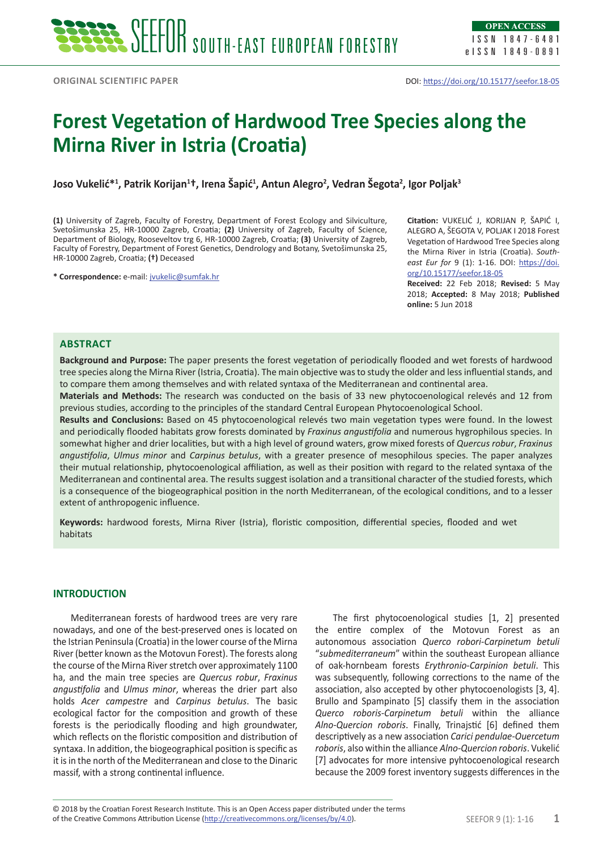# **Forest Vegetation of Hardwood Tree Species along the Mirna River in Istria (Croatia)**

**Joso Vukelić\*<sup>1</sup> , Patrik Korijan<sup>1</sup> †, Irena Šapić<sup>1</sup> , Antun Alegro2 , Vedran Šegota2 , Igor Poljak3**

**(1)** University of Zagreb, Faculty of Forestry, Department of Forest Ecology and Silviculture, Svetošimunska 25, HR-10000 Zagreb, Croatia; **(2)** University of Zagreb, Faculty of Science, Department of Biology, Rooseveltov trg 6, HR-10000 Zagreb, Croatia; **(3)** University of Zagreb, Faculty of Forestry, Department of Forest Genetics, Dendrology and Botany, Svetošimunska 25, HR-10000 Zagreb, Croatia; **(†)** Deceased

**\* Correspondence:** e-mail: [jvukelic@sumfak.hr](mailto:jvukelic@sumfak.hr)

**Citation:** VUKELIĆ J, KORIJAN P, ŠAPIĆ I, ALEGRO A, ŠEGOTA V, POLJAK I 2018 Forest Vegetation of Hardwood Tree Species along the Mirna River in Istria (Croatia). *Southeast Eur for* 9 (1): 1-16. DOI: [https://doi.](https://doi.org/10.15177/seefor.18-05) [org/10.15177/seefor.18-05](https://doi.org/10.15177/seefor.18-05)

**Received:** 22 Feb 2018; **Revised:** 5 May 2018; **Accepted:** 8 May 2018; **Published online:** 5 Jun 2018

#### **Abstract**

**Background and Purpose:** The paper presents the forest vegetation of periodically flooded and wet forests of hardwood tree species along the Mirna River (Istria, Croatia). The main objective was to study the older and less influential stands, and to compare them among themselves and with related syntaxa of the Mediterranean and continental area.

**Materials and Methods:** The research was conducted on the basis of 33 new phytocoenological relevés and 12 from previous studies, according to the principles of the standard Central European Phytocoenological School.

**Results and Conclusions:** Based on 45 phytocoenological relevés two main vegetation types were found. In the lowest and periodically flooded habitats grow forests dominated by *Fraxinus angustifolia* and numerous hygrophilous species. In somewhat higher and drier localities, but with a high level of ground waters, grow mixed forests of *Quercus robur*, *Fraxinus angustifolia*, *Ulmus minor* and *Carpinus betulus*, with a greater presence of mesophilous species. The paper analyzes their mutual relationship, phytocoenological affiliation, as well as their position with regard to the related syntaxa of the Mediterranean and continental area. The results suggest isolation and a transitional character of the studied forests, which is a consequence of the biogeographical position in the north Mediterranean, of the ecological conditions, and to a lesser extent of anthropogenic influence.

**Keywords:** hardwood forests, Mirna River (Istria), floristic composition, differential species, flooded and wet habitats

## **INTRODUCTION**

Mediterranean forests of hardwood trees are very rare nowadays, and one of the best-preserved ones is located on the Istrian Peninsula (Croatia) in the lower course of the Mirna River (better known as the Motovun Forest). The forests along the course of the Mirna River stretch over approximately 1100 ha, and the main tree species are *Quercus robur*, *Fraxinus angustifolia* and *Ulmus minor*, whereas the drier part also holds *Acer campestre* and *Carpinus betulus*. The basic ecological factor for the composition and growth of these forests is the periodically flooding and high groundwater, which reflects on the floristic composition and distribution of syntaxa. In addition, the biogeographical position is specific as it is in the north of the Mediterranean and close to the Dinaric massif, with a strong continental influence.

The first phytocoenological studies [1, 2] presented the entire complex of the Motovun Forest as an autonomous association *Querco robori*-*Carpinetum betuli* "*submediterraneum*" within the southeast European alliance of oak-hornbeam forests *Erythronio-Carpinion betuli*. This was subsequently, following corrections to the name of the association, also accepted by other phytocoenologists [3, 4]. Brullo and Spampinato [5] classify them in the association *Querco roboris-Carpinetum betuli* within the alliance *Alno-Quercion roboris*. Finally, Trinajstić [6] defined them descriptively as a new association *Carici pendulae-Ouercetum roboris*, also within the alliance *Alno-Quercion roboris*. Vukelić [7] advocates for more intensive pyhtocoenological research because the 2009 forest inventory suggests differences in the

of the Creative Commons Attribution License (<http://creativecommons.org/licenses/by/4.0>). SEEFOR 9 (1): 1-16 **1** © 2018 by the Croatian Forest Research Institute. This is an Open Access paper distributed under the terms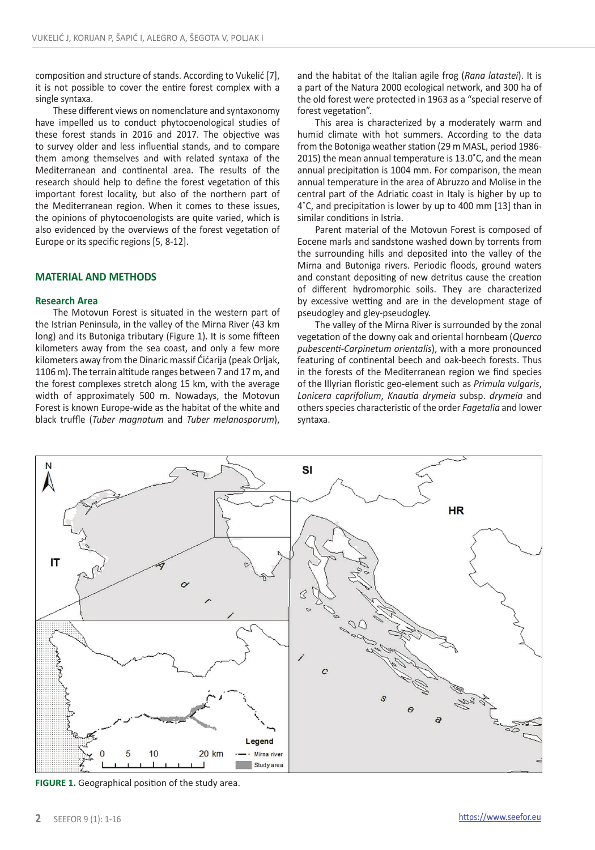composition and structure of stands. According to Vukelić [7], it is not possible to cover the entire forest complex with a single syntaxa.

These different views on nomenclature and syntaxonomy have impelled us to conduct phytocoenological studies of these forest stands in 2016 and 2017. The objective was to survey older and less influential stands, and to compare them among themselves and with related syntaxa of the Mediterranean and continental area. The results of the research should help to define the forest vegetation of this important forest locality, but also of the northern part of the Mediterranean region. When it comes to these issues, the opinions of phytocoenologists are quite varied, which is also evidenced by the overviews of the forest vegetation of Europe or its specific regions [5, 8-12].

## **MATERIAL AND METHODS**

### **Research Area**

The Motovun Forest is situated in the western part of the Istrian Peninsula, in the valley of the Mirna River (43 km long) and its Butoniga tributary (Figure 1). It is some fifteen kilometers away from the sea coast, and only a few more kilometers away from the Dinaric massif Ćićarija (peak Orljak, 1106 m). The terrain altitude ranges between 7 and 17 m, and the forest complexes stretch along 15 km, with the average width of approximately 500 m. Nowadays, the Motovun Forest is known Europe-wide as the habitat of the white and black truffle (*Tuber magnatum* and *Tuber melanosporum*),

and the habitat of the Italian agile frog (*Rana latastei*). It is a part of the Natura 2000 ecological network, and 300 ha of the old forest were protected in 1963 as a "special reserve of forest vegetation".

This area is characterized by a moderately warm and humid climate with hot summers. According to the data from the Botoniga weather station (29 m MASL, period 1986- 2015) the mean annual temperature is 13.0˚C, and the mean annual precipitation is 1004 mm. For comparison, the mean annual temperature in the area of Abruzzo and Molise in the central part of the Adriatic coast in Italy is higher by up to 4˚C, and precipitation is lower by up to 400 mm [13] than in similar conditions in Istria.

Parent material of the Motovun Forest is composed of Eocene marls and sandstone washed down by torrents from the surrounding hills and deposited into the valley of the Mirna and Butoniga rivers. Periodic floods, ground waters and constant depositing of new detritus cause the creation of different hydromorphic soils. They are characterized by excessive wetting and are in the development stage of pseudogley and gley-pseudogley.

The valley of the Mirna River is surrounded by the zonal vegetation of the downy oak and oriental hornbeam (*Querco pubescenti*-*Carpinetum orientalis*), with a more pronounced featuring of continental beech and oak-beech forests. Thus in the forests of the Mediterranean region we find species of the Illyrian floristic geo-element such as *Primula vulgaris*, *Lonicera caprifolium*, *Knautia drymeia* subsp. *drymeia* and others species characteristic of the order *Fagetalia* and lower syntaxa.



**FIGURE 1.** Geographical position of the study area.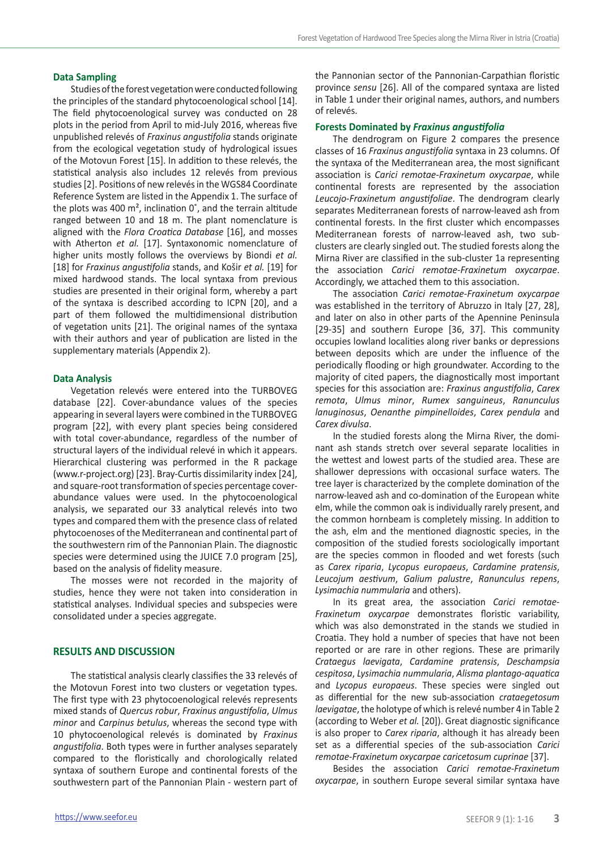## **Data Sampling**

Studies of the forest vegetation were conducted following the principles of the standard phytocoenological school [14]. The field phytocoenological survey was conducted on 28 plots in the period from April to mid-July 2016, whereas five unpublished relevés of *Fraxinus angustifolia* stands originate from the ecological vegetation study of hydrological issues of the Motovun Forest [15]. In addition to these relevés, the statistical analysis also includes 12 relevés from previous studies [2]. Positions of new relevés in the WGS84 Coordinate Reference System are listed in the Appendix 1. The surface of the plots was 400  $m^2$ , inclination  $0^\circ$ , and the terrain altitude ranged between 10 and 18 m. The plant nomenclature is aligned with the *Flora Croatica Database* [16], and mosses with Atherton *et al.* [17]. Syntaxonomic nomenclature of higher units mostly follows the overviews by Biondi *et al.* [18] for *Fraxinus angustifolia* stands, and Košir *et al.* [19] for mixed hardwood stands. The local syntaxa from previous studies are presented in their original form, whereby a part of the syntaxa is described according to ICPN [20], and a part of them followed the multidimensional distribution of vegetation units [21]. The original names of the syntaxa with their authors and year of publication are listed in the supplementary materials (Appendix 2).

#### **Data Analysis**

Vegetation relevés were entered into the TURBOVEG database [22]. Cover-abundance values of the species appearing in several layers were combined in the TURBOVEG program [22], with every plant species being considered with total cover-abundance, regardless of the number of structural layers of the individual relevé in which it appears. Hierarchical clustering was performed in the R package (www.r-project.org) [23]. Bray-Curtis dissimilarity index [24], and square-root transformation of species percentage coverabundance values were used. In the phytocoenological analysis, we separated our 33 analytical relevés into two types and compared them with the presence class of related phytocoenoses of the Mediterranean and continental part of the southwestern rim of the Pannonian Plain. The diagnostic species were determined using the JUICE 7.0 program [25], based on the analysis of fidelity measure.

The mosses were not recorded in the majority of studies, hence they were not taken into consideration in statistical analyses. Individual species and subspecies were consolidated under a species aggregate.

#### **RESULTS AND DISCUSSION**

The statistical analysis clearly classifies the 33 relevés of the Motovun Forest into two clusters or vegetation types. The first type with 23 phytocoenological relevés represents mixed stands of *Quercus robur*, *Fraxinus angustifolia*, *Ulmus minor* and *Carpinus betulus*, whereas the second type with 10 phytocoenological relevés is dominated by *Fraxinus angustifolia*. Both types were in further analyses separately compared to the floristically and chorologically related syntaxa of southern Europe and continental forests of the southwestern part of the Pannonian Plain - western part of the Pannonian sector of the Pannonian-Carpathian floristic province *sensu* [26]. All of the compared syntaxa are listed in Table 1 under their original names, authors, and numbers of relevés.

#### **Forests Dominated by** *Fraxinus angustifolia*

The dendrogram on Figure 2 compares the presence classes of 16 *Fraxinus angustifolia* syntaxa in 23 columns. Of the syntaxa of the Mediterranean area, the most significant association is *Carici remotae*-*Fraxinetum oxycarpae*, while continental forests are represented by the association *Leucojo*-*Fraxinetum angustifoliae*. The dendrogram clearly separates Mediterranean forests of narrow-leaved ash from continental forests. In the first cluster which encompasses Mediterranean forests of narrow-leaved ash, two subclusters are clearly singled out. The studied forests along the Mirna River are classified in the sub-cluster 1a representing the association *Carici remotae*-*Fraxinetum oxycarpae*. Accordingly, we attached them to this association.

The association *Carici remotae*-*Fraxinetum oxycarpae*  was established in the territory of Abruzzo in Italy [27, 28], and later on also in other parts of the Apennine Peninsula [29-35] and southern Europe [36, 37]. This community occupies lowland localities along river banks or depressions between deposits which are under the influence of the periodically flooding or high groundwater. According to the majority of cited papers, the diagnostically most important species for this association are: *Fraxinus angustifolia*, *Carex remota*, *Ulmus minor*, *Rumex sanguineus*, *Ranunculus lanuginosus*, *Oenanthe pimpinelloides*, *Carex pendula* and *Carex divulsa*.

In the studied forests along the Mirna River, the dominant ash stands stretch over several separate localities in the wettest and lowest parts of the studied area. These are shallower depressions with occasional surface waters. The tree layer is characterized by the complete domination of the narrow-leaved ash and co-domination of the European white elm, while the common oak is individually rarely present, and the common hornbeam is completely missing. In addition to the ash, elm and the mentioned diagnostic species, in the composition of the studied forests sociologically important are the species common in flooded and wet forests (such as *Carex riparia*, *Lycopus europaeus*, *Cardamine pratensis*, *Leucojum aestivum*, *Galium palustre*, *Ranunculus repens*, *Lysimachia nummularia* and others).

In its great area, the association *Carici remotae*-*Fraxinetum oxycarpae* demonstrates floristic variability, which was also demonstrated in the stands we studied in Croatia. They hold a number of species that have not been reported or are rare in other regions. These are primarily *Crataegus laevigata*, *Cardamine pratensis*, *Deschampsia cespitosa*, *Lysimachia nummularia*, *Alisma plantago-aquatica*  and *Lycopus europaeus*. These species were singled out as differential for the new sub-association *crataegetosum laevigatae*, the holotype of which is relevé number 4 in Table 2 (according to Weber *et al.* [20]). Great diagnostic significance is also proper to *Carex riparia*, although it has already been set as a differential species of the sub-association *Carici remotae-Fraxinetum oxycarpae caricetosum cuprinae* [37].

Besides the association *Carici remotae*-*Fraxinetum oxycarpae*, in southern Europe several similar syntaxa have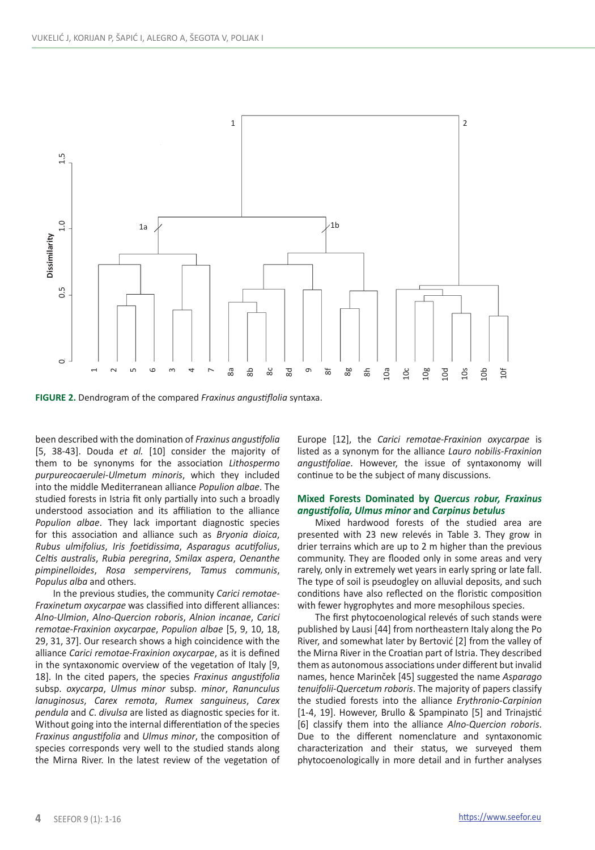

**FIGURE 2.** Dendrogram of the compared *Fraxinus angustiflolia* syntaxa.

been described with the domination of *Fraxinus angustifolia* [5, 38-43]. Douda *et al.* [10] consider the majority of them to be synonyms for the association *Lithospermo purpureocaerulei-Ulmetum minoris*, which they included into the middle Mediterranean alliance *Populion albae*. The studied forests in Istria fit only partially into such a broadly understood association and its affiliation to the alliance *Populion albae*. They lack important diagnostic species for this association and alliance such as *Bryonia dioica*, *Rubus ulmifolius*, *Iris foetidissima*, *Asparagus acutifolius*, *Celtis australis*, *Rubia peregrina*, *Smilax aspera*, *Oenanthe pimpinelloides*, *Rosa sempervirens*, *Tamus communis*, *Populus alba* and others.

In the previous studies, the community *Carici remotae*-*Fraxinetum oxycarpae* was classified into different alliances: *Alno*-*Ulmion*, *Alno-Quercion roboris*, *Alnion incanae*, *Carici remotae*-*Fraxinion oxycarpae*, *Populion albae* [5, 9, 10, 18, 29, 31, 37]. Our research shows a high coincidence with the alliance *Carici remotae*-*Fraxinion oxycarpae*, as it is defined in the syntaxonomic overview of the vegetation of Italy [9, 18]. In the cited papers, the species *Fraxinus angustifolia*  subsp. *oxycarpa*, *Ulmus minor* subsp. *minor*, *Ranunculus lanuginosus*, *Carex remota*, *Rumex sanguineus*, *Carex pendula* and *C*. *divulsa* are listed as diagnostic species for it. Without going into the internal differentiation of the species *Fraxinus angustifolia* and *Ulmus minor*, the composition of species corresponds very well to the studied stands along the Mirna River. In the latest review of the vegetation of Europe [12], the *Carici remotae*-*Fraxinion oxycarpae* is listed as a synonym for the alliance *Lauro nobilis*-*Fraxinion angustifoliae*. However, the issue of syntaxonomy will continue to be the subject of many discussions.

## **Mixed Forests Dominated by** *Quercus robur, Fraxinus angustifolia, Ulmus minor* **and** *Carpinus betulus*

Mixed hardwood forests of the studied area are presented with 23 new relevés in Table 3. They grow in drier terrains which are up to 2 m higher than the previous community. They are flooded only in some areas and very rarely, only in extremely wet years in early spring or late fall. The type of soil is pseudogley on alluvial deposits, and such conditions have also reflected on the floristic composition with fewer hygrophytes and more mesophilous species.

The first phytocoenological relevés of such stands were published by Lausi [44] from northeastern Italy along the Po River, and somewhat later by Bertović [2] from the valley of the Mirna River in the Croatian part of Istria. They described them as autonomous associations under different but invalid names, hence Marinček [45] suggested the name *Asparago tenuifolii*-*Quercetum roboris*. The majority of papers classify the studied forests into the alliance *Erythronio*-*Carpinion* [1-4, 19]. However, Brullo & Spampinato [5] and Trinajstić [6] classify them into the alliance *Alno*-*Quercion roboris*. Due to the different nomenclature and syntaxonomic characterization and their status, we surveyed them phytocoenologically in more detail and in further analyses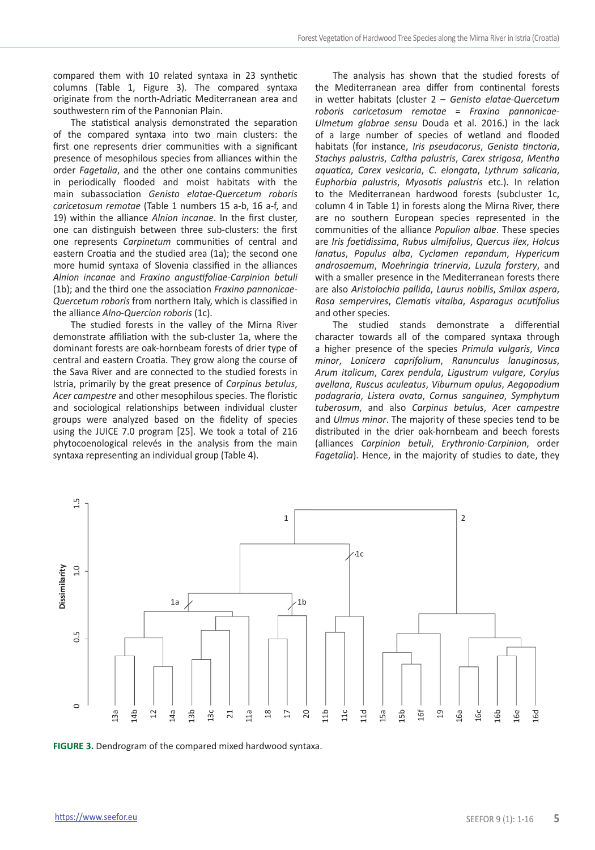compared them with 10 related syntaxa in 23 synthetic columns (Table 1, Figure 3). The compared syntaxa originate from the north-Adriatic Mediterranean area and southwestern rim of the Pannonian Plain.

The statistical analysis demonstrated the separation of the compared syntaxa into two main clusters: the first one represents drier communities with a significant presence of mesophilous species from alliances within the order *Fagetalia*, and the other one contains communities in periodically flooded and moist habitats with the main subassociation *Genisto elatae*-*Quercetum roboris caricetosum remotae* (Table 1 numbers 15 a-b, 16 a-f, and 19) within the alliance *Alnion incanae*. In the first cluster, one can distinguish between three sub-clusters: the first one represents *Carpinetum* communities of central and eastern Croatia and the studied area (1a); the second one more humid syntaxa of Slovenia classified in the alliances *Alnion incanae* and *Fraxino angustifoliae*-*Carpinion betuli*  (1b); and the third one the association *Fraxino pannonicae*-*Quercetum roboris* from northern Italy, which is classified in the alliance *Alno*-*Quercion roboris* (1c).

The studied forests in the valley of the Mirna River demonstrate affiliation with the sub-cluster 1a, where the dominant forests are oak-hornbeam forests of drier type of central and eastern Croatia. They grow along the course of the Sava River and are connected to the studied forests in Istria, primarily by the great presence of *Carpinus betulus*, *Acer campestre* and other mesophilous species. The floristic and sociological relationships between individual cluster groups were analyzed based on the fidelity of species using the JUICE 7.0 program [25]. We took a total of 216 phytocoenological relevés in the analysis from the main syntaxa representing an individual group (Table 4).

The analysis has shown that the studied forests of the Mediterranean area differ from continental forests in wetter habitats (cluster 2 – *Genisto elatae*-*Quercetum roboris caricetosum remotae* = *Fraxino pannonicae-Ulmetum glabrae sensu* Douda et al. 2016.) in the lack of a large number of species of wetland and flooded habitats (for instance, *Iris pseudacorus*, *Genista tinctoria*, *Stachys palustris*, *Caltha palustris*, *Carex strigosa*, *Mentha aquatica*, *Carex vesicaria*, *C*. *elongata*, *Lythrum salicaria*, *Euphorbia palustris*, *Myosotis palustris* etc.). In relation to the Mediterranean hardwood forests (subcluster 1c, column 4 in Table 1) in forests along the Mirna River, there are no southern European species represented in the communities of the alliance *Populion albae*. These species are *Iris foetidissima*, *Rubus ulmifolius*, *Quercus ilex*, *Holcus lanatus*, *Populus alba*, *Cyclamen repandum*, *Hypericum androsaemum*, *Moehringia trinervia*, *Luzula forstery*, and with a smaller presence in the Mediterranean forests there are also *Aristolochia pallida*, *Laurus nobilis*, *Smilax aspera*, *Rosa sempervires*, *Clematis vitalba*, *Asparagus acutifolius* and other species.

The studied stands demonstrate a differential character towards all of the compared syntaxa through a higher presence of the species *Primula vulgaris*, *Vinca minor*, *Lonicera caprifolium*, *Ranunculus lanuginosus*, *Arum italicum*, *Carex pendula*, *Ligustrum vulgare*, *Corylus avellana*, *Ruscus aculeatus*, *Viburnum opulus*, *Aegopodium podagraria*, *Listera ovata*, *Cornus sanguinea*, *Symphytum tuberosum*, and also *Carpinus betulus*, *Acer campestre*  and *Ulmus minor*. The majority of these species tend to be distributed in the drier oak-hornbeam and beech forests (alliances *Carpinion betuli*, *Erythronio*-*Carpinion*, order *Fagetalia*). Hence, in the majority of studies to date, they

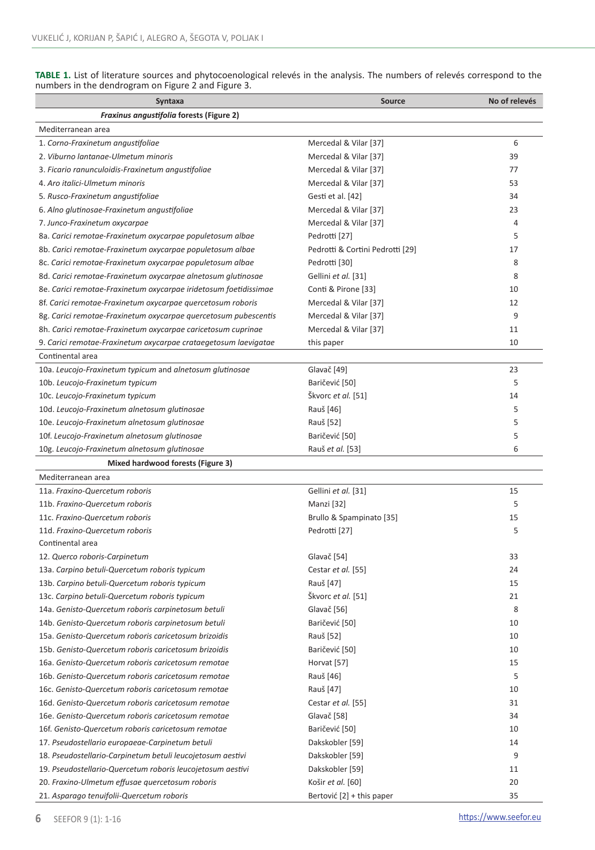| Syntaxa                                                          | Source                           | No of relevés |
|------------------------------------------------------------------|----------------------------------|---------------|
| Fraxinus angustifolia forests (Figure 2)                         |                                  |               |
| Mediterranean area                                               |                                  |               |
| 1. Corno-Fraxinetum angustifoliae                                | Mercedal & Vilar [37]            | 6             |
| 2. Viburno lantanae-Ulmetum minoris                              | Mercedal & Vilar [37]            | 39            |
| 3. Ficario ranunculoidis-Fraxinetum angustifoliae                | Mercedal & Vilar [37]            | 77            |
| 4. Aro italici-Ulmetum minoris                                   | Mercedal & Vilar [37]            | 53            |
| 5. Rusco-Fraxinetum angustifoliae                                | Gesti et al. [42]                | 34            |
| 6. Alno glutinosae-Fraxinetum angustifoliae                      | Mercedal & Vilar [37]            | 23            |
| 7. Junco-Fraxinetum oxycarpae                                    | Mercedal & Vilar [37]            | 4             |
| 8a. Carici remotae-Fraxinetum oxycarpae populetosum albae        | Pedrotti [27]                    | 5             |
| 8b. Carici remotae-Fraxinetum oxycarpae populetosum albae        | Pedrotti & Cortini Pedrotti [29] | 17            |
| 8c. Carici remotae-Fraxinetum oxycarpae populetosum albae        | Pedrotti [30]                    | 8             |
| 8d. Carici remotae-Fraxinetum oxycarpae alnetosum glutinosae     | Gellini et al. [31]              | 8             |
| 8e. Carici remotae-Fraxinetum oxycarpae iridetosum foetidissimae | Conti & Pirone [33]              | 10            |
| 8f. Carici remotae-Fraxinetum oxycarpae quercetosum roboris      | Mercedal & Vilar [37]            | 12            |
| 8g. Carici remotae-Fraxinetum oxycarpae quercetosum pubescentis  | Mercedal & Vilar [37]            | 9             |
| 8h. Carici remotae-Fraxinetum oxycarpae caricetosum cuprinae     | Mercedal & Vilar [37]            | 11            |
| 9. Carici remotae-Fraxinetum oxycarpae crataegetosum laevigatae  | this paper                       | 10            |
| Continental area                                                 |                                  |               |
| 10a. Leucojo-Fraxinetum typicum and alnetosum glutinosae         | Glavač [49]                      | 23            |
| 10b. Leucojo-Fraxinetum typicum                                  | Baričević [50]                   | 5             |
| 10c. Leucojo-Fraxinetum typicum                                  | Škvorc et al. [51]               | 14            |
| 10d. Leucojo-Fraxinetum alnetosum glutinosae                     | Rauš [46]                        | 5             |
| 10e. Leucojo-Fraxinetum alnetosum glutinosae                     | Rauš [52]                        | 5             |
| 10f. Leucojo-Fraxinetum alnetosum glutinosae                     | Baričević [50]                   | 5             |
| 10g. Leucojo-Fraxinetum alnetosum glutinosae                     | Rauš et al. [53]                 | 6             |
| Mixed hardwood forests (Figure 3)                                |                                  |               |
| Mediterranean area                                               |                                  |               |
| 11a. Fraxino-Quercetum roboris                                   | Gellini et al. [31]              | 15            |
| 11b. Fraxino-Quercetum roboris                                   | Manzi [32]                       | 5             |
| 11c. Fraxino-Quercetum roboris                                   | Brullo & Spampinato [35]         | 15            |
| 11d. Fraxino-Quercetum roboris                                   | Pedrotti [27]                    | 5             |
| Continental area                                                 |                                  |               |
| 12. Querco roboris-Carpinetum                                    | Glavač [54]                      | 33            |
| 13a. Carpino betuli-Quercetum roboris typicum                    | Cestar et al. [55]               | 24            |
| 13b. Carpino betuli-Quercetum roboris typicum                    | Rauš [47]                        | 15            |
| 13c. Carpino betuli-Quercetum roboris typicum                    | Škvorc et al. [51]               | 21            |
| 14a. Genisto-Quercetum roboris carpinetosum betuli               | Glavač [56]                      | 8             |
| 14b. Genisto-Quercetum roboris carpinetosum betuli               | Baričević [50]                   | 10            |
| 15a. Genisto-Quercetum roboris caricetosum brizoidis             | Rauš [52]                        | 10            |
| 15b. Genisto-Quercetum roboris caricetosum brizoidis             | Baričević [50]                   | 10            |
| 16a. Genisto-Quercetum roboris caricetosum remotae               | Horvat [57]                      | 15            |
| 16b. Genisto-Quercetum roboris caricetosum remotae               | Rauš [46]                        | 5             |
| 16c. Genisto-Quercetum roboris caricetosum remotae               | Rauš [47]                        | 10            |
| 16d. Genisto-Quercetum roboris caricetosum remotae               | Cestar et al. [55]               | 31            |
| 16e. Genisto-Quercetum roboris caricetosum remotae               | Glavač [58]                      | 34            |
| 16f. Genisto-Quercetum roboris caricetosum remotae               | Baričević [50]                   | 10            |
| 17. Pseudostellario europaeae-Carpinetum betuli                  | Dakskobler [59]                  | 14            |
| 18. Pseudostellario-Carpinetum betuli leucojetosum aestivi       | Dakskobler [59]                  | 9             |
| 19. Pseudostellario-Quercetum roboris leucojetosum aestivi       | Dakskobler [59]                  | 11            |
| 20. Fraxino-Ulmetum effusae quercetosum roboris                  | Košir et al. [60]                | 20            |
| 21. Asparago tenuifolii-Quercetum roboris                        | Bertović [2] + this paper        | 35            |

**TABLE 1.** List of literature sources and phytocoenological relevés in the analysis. The numbers of relevés correspond to the numbers in the dendrogram on Figure 2 and Figure 3.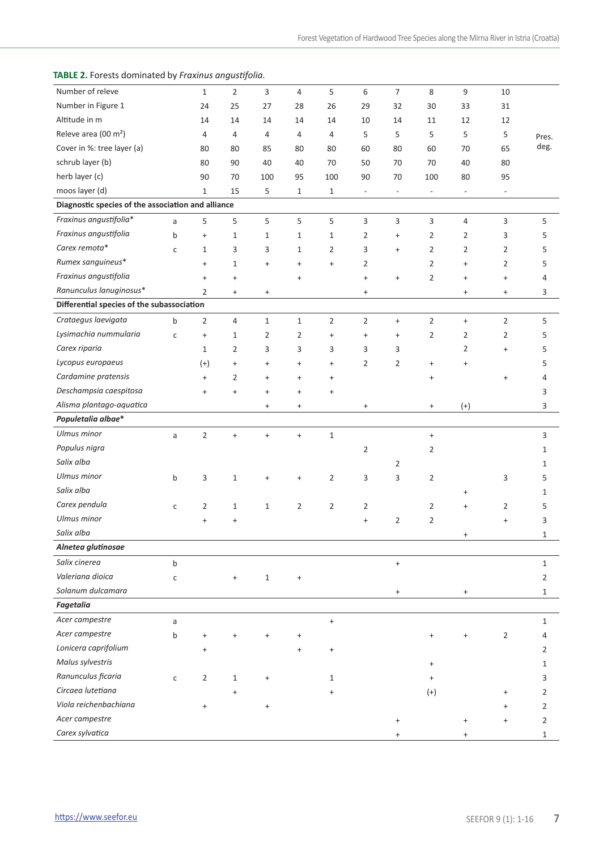## **TABLE 2.** Forests dominated by *Fraxinus angustifolia.*

| Number of releve                                   |              | $\mathbf{1}$                     | $\overline{2}$ | 3                                | 4                                | 5              | 6                                | $\overline{7}$           | 8                                | 9                                | 10                               |                |
|----------------------------------------------------|--------------|----------------------------------|----------------|----------------------------------|----------------------------------|----------------|----------------------------------|--------------------------|----------------------------------|----------------------------------|----------------------------------|----------------|
| Number in Figure 1                                 |              | 24                               | 25             | 27                               | 28                               | 26             | 29                               | 32                       | 30                               | 33                               | 31                               |                |
| Altitude in m                                      |              | 14                               | 14             | 14                               | 14                               | 14             | 10                               | 14                       | 11                               | 12                               | 12                               |                |
| Releve area (00 m <sup>2</sup> )                   |              | 4                                | 4              | $\overline{4}$                   | 4                                | 4              | 5                                | 5                        | 5                                | 5                                | 5                                | Pres.          |
| Cover in %: tree layer (a)                         |              | 80                               | 80             | 85                               | 80                               | 80             | 60                               | 80                       | 60                               | 70                               | 65                               | deg.           |
| schrub layer (b)                                   |              | 80                               | 90             | 40                               | 40                               | 70             | 50                               | 70                       | 70                               | 40                               | 80                               |                |
| herb layer (c)                                     |              | 90                               | 70             | 100                              | 95                               | 100            | 90                               | 70                       | 100                              | 80                               | 95                               |                |
| moos layer (d)                                     |              | $\mathbf{1}$                     | 15             | 5                                | $\mathbf{1}$                     | $\mathbf{1}$   | $\overline{\phantom{a}}$         | $\overline{\phantom{a}}$ | $\overline{\phantom{a}}$         | $\overline{\phantom{a}}$         | $\overline{\phantom{a}}$         |                |
| Diagnostic species of the association and alliance |              |                                  |                |                                  |                                  |                |                                  |                          |                                  |                                  |                                  |                |
| Fraxinus angustifolia*                             | a            | 5                                | 5              | 5                                | 5                                | 5              | 3                                | 3                        | 3                                | $\overline{4}$                   | 3                                | 5              |
| Fraxinus angustifolia                              | $\mathsf b$  | $\begin{array}{c} + \end{array}$ | $\mathbf 1$    | $1\,$                            | $\mathbf{1}$                     | $1\,$          | $\overline{2}$                   | $\ddot{}$                | $\overline{2}$                   | $\overline{2}$                   | 3                                | 5              |
| Carex remota*                                      | C            | $\mathbf{1}$                     | 3              | 3                                | $\mathbf{1}$                     | $\overline{2}$ | 3                                | $\ddot{}$                | $\overline{2}$                   | 2                                | 2                                | 5              |
| Rumex sanguineus*                                  |              | $\ddot{}$                        | $\mathbf{1}$   | $\ddot{}$                        | $\ddot{}$                        | $\ddot{}$      | $\overline{2}$                   |                          | $\overline{2}$                   | $\ddot{}$                        | $\overline{2}$                   | 5              |
| Fraxinus angustifolia                              |              | $\ddot{}$                        | $\ddot{}$      |                                  | $\ddot{}$                        |                | $\ddot{}$                        | $\ddot{}$                | $\overline{2}$                   | $\ddot{}$                        | $\ddot{}$                        | 4              |
| Ranunculus lanuginosus*                            |              | $\overline{2}$                   | $\ddot{}$      | $\begin{array}{c} + \end{array}$ |                                  |                | $\begin{array}{c} + \end{array}$ |                          |                                  | $\qquad \qquad +$                | $\begin{array}{c} + \end{array}$ | 3              |
| Differential species of the subassociation         |              |                                  |                |                                  |                                  |                |                                  |                          |                                  |                                  |                                  |                |
| Crataegus laevigata                                | b            | $\overline{2}$                   | 4              | $\mathbf{1}$                     | $\mathbf{1}$                     | $\overline{2}$ | $\overline{2}$                   | $\qquad \qquad +$        | $\overline{2}$                   | $\ddot{}$                        | $\overline{2}$                   | 5              |
| Lysimachia nummularia                              | C            | $\ddot{}$                        | $\mathbf{1}$   | $\overline{2}$                   | $\overline{2}$                   | $\ddot{}$      | $\ddot{}$                        | $\ddot{}$                | 2                                | 2                                | 2                                | 5              |
| Carex riparia                                      |              | $\mathbf{1}$                     | $\overline{2}$ | 3                                | 3                                | 3              | 3                                | 3                        |                                  | 2                                | $\ddot{}$                        | 5              |
| Lycopus europaeus                                  |              | $(+)$                            | $\ddot{}$      | $\ddot{}$                        | $\ddot{}$                        | $\ddot{}$      | 2                                | $\overline{2}$           | $\ddot{}$                        | $\ddot{}$                        |                                  | 5              |
| Cardamine pratensis                                |              | $\ddot{}$                        | $\overline{2}$ | $\ddot{}$                        | $\ddot{}$                        | $\ddot{}$      |                                  |                          | $\ddot{}$                        |                                  | $\ddot{}$                        | $\overline{4}$ |
| Deschampsia caespitosa                             |              | $\ddot{}$                        | $\ddot{}$      | $\ddot{}$                        | $\ddot{}$                        | $\ddot{}$      |                                  |                          |                                  |                                  |                                  | 3              |
| Alisma plantago-aquatica                           |              |                                  |                | $\ddot{}$                        | $\begin{array}{c} + \end{array}$ |                | $\ddot{}$                        |                          | $\begin{array}{c} + \end{array}$ | $^{(+)}$                         |                                  | 3              |
| Populetalia albae*                                 |              |                                  |                |                                  |                                  |                |                                  |                          |                                  |                                  |                                  |                |
| Ulmus minor                                        | a            | $\overline{2}$                   | $\ddot{}$      | $\ddot{}$                        | $\ddot{}$                        | $1\,$          |                                  |                          | $\qquad \qquad +$                |                                  |                                  | 3              |
| Populus nigra                                      |              |                                  |                |                                  |                                  |                | 2                                |                          | 2                                |                                  |                                  | 1              |
| Salix alba                                         |              |                                  |                |                                  |                                  |                |                                  | $\overline{2}$           |                                  |                                  |                                  | 1              |
| Ulmus minor                                        | b            | 3                                | $\mathbf{1}$   | $\ddot{}$                        | $\ddot{}$                        | 2              | 3                                | 3                        | 2                                |                                  | 3                                | 5              |
| Salix alba                                         |              |                                  |                |                                  |                                  |                |                                  |                          |                                  | $\ddot{}$                        |                                  | $\mathbf{1}$   |
| Carex pendula                                      | c            | $\overline{2}$                   | $\mathbf 1$    | $\mathbf{1}$                     | $\overline{2}$                   | $\overline{2}$ | $\overline{2}$                   |                          | $\overline{2}$                   | $\ddot{}$                        | 2                                | 5              |
| Ulmus minor                                        |              | $+$                              | $\ddot{}$      |                                  |                                  |                | $\ddot{}$                        | $\overline{2}$           | $\overline{2}$                   |                                  | $\ddot{}$                        | 3              |
| Salix alba                                         |              |                                  |                |                                  |                                  |                |                                  |                          |                                  | $\ddot{}$                        |                                  | $\mathbf{1}$   |
| Alnetea glutinosae                                 |              |                                  |                |                                  |                                  |                |                                  |                          |                                  |                                  |                                  |                |
| Salix cinerea                                      | b            |                                  |                |                                  |                                  |                |                                  | $\qquad \qquad +$        |                                  |                                  |                                  | $\mathbf{1}$   |
| Valeriana dioica                                   | $\mathsf{C}$ |                                  | $\ddot{}$      | $\mathbf 1$                      | $\ddot{}$                        |                |                                  |                          |                                  |                                  |                                  | $\overline{2}$ |
| Solanum dulcamara                                  |              |                                  |                |                                  |                                  |                |                                  | $\qquad \qquad +$        |                                  | $\begin{array}{c} + \end{array}$ |                                  | $\mathbf{1}$   |
| Fagetalia                                          |              |                                  |                |                                  |                                  |                |                                  |                          |                                  |                                  |                                  |                |
| Acer campestre                                     | a            |                                  |                |                                  |                                  | $\ddot{}$      |                                  |                          |                                  |                                  |                                  | $\mathbf 1$    |
| Acer campestre                                     | b            |                                  |                |                                  |                                  |                |                                  |                          |                                  |                                  | 2                                | $\overline{4}$ |
| Lonicera caprifolium                               |              | $\ddot{}$                        |                |                                  |                                  | $\ddot{}$      |                                  |                          |                                  |                                  |                                  | $\overline{2}$ |
| Malus sylvestris                                   |              |                                  |                |                                  |                                  |                |                                  |                          | $\ddot{}$                        |                                  |                                  | $\mathbf 1$    |
| Ranunculus ficaria                                 | $\mathsf{C}$ | $\overline{2}$                   | $\mathbf{1}$   | $\ddot{}$                        |                                  | $\mathbf{1}$   |                                  |                          | $\ddot{}$                        |                                  |                                  | 3              |
| Circaea lutetiana                                  |              |                                  | $\ddot{}$      |                                  |                                  | $\ddot{}$      |                                  |                          | $^{(+)}$                         |                                  |                                  | $\overline{2}$ |
| Viola reichenbachiana                              |              | $\begin{array}{c} + \end{array}$ |                | $\begin{array}{c} + \end{array}$ |                                  |                |                                  |                          |                                  |                                  | $\ddot{}$                        | $\overline{2}$ |
| Acer campestre                                     |              |                                  |                |                                  |                                  |                |                                  | $\ddot{}$                |                                  | $\ddot{}$                        | $\ddot{}$                        | $\overline{2}$ |
| Carex sylvatica                                    |              |                                  |                |                                  |                                  |                |                                  |                          |                                  | $\ddot{}$                        |                                  | $\mathbf 1$    |
|                                                    |              |                                  |                |                                  |                                  |                |                                  |                          |                                  |                                  |                                  |                |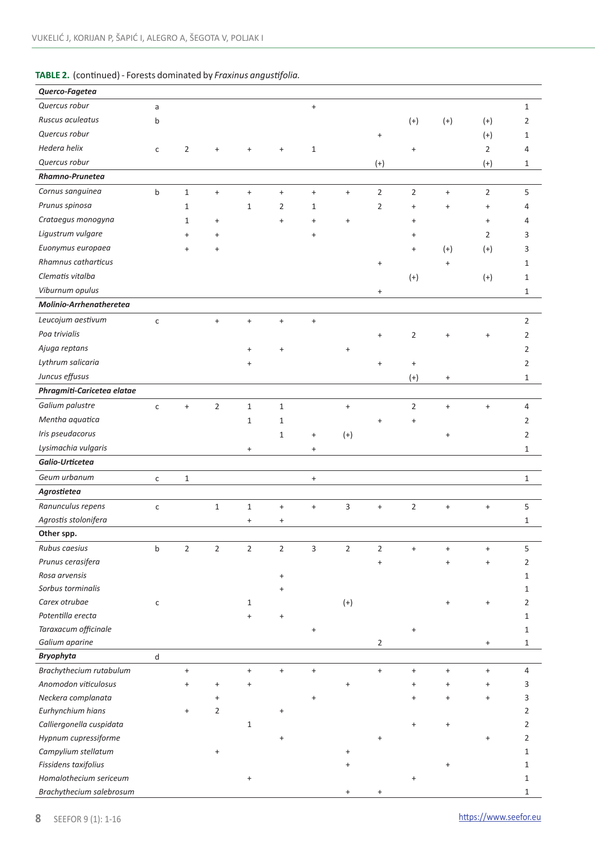# **TABLE 2.** (continued) - Forests dominated by *Fraxinus angustifolia.*

| Querco-Fagetea                              |              |                                              |                |                   |                                  |                                  |                   |                   |                                  |           |                                  |                |
|---------------------------------------------|--------------|----------------------------------------------|----------------|-------------------|----------------------------------|----------------------------------|-------------------|-------------------|----------------------------------|-----------|----------------------------------|----------------|
| Quercus robur                               | a            |                                              |                |                   |                                  | $\ddot{}$                        |                   |                   |                                  |           |                                  | $1\,$          |
| Ruscus aculeatus                            | b            |                                              |                |                   |                                  |                                  |                   |                   | $(+)$                            | $(+)$     | $(+)$                            | 2              |
| Quercus robur                               |              |                                              |                |                   |                                  |                                  |                   | $\qquad \qquad +$ |                                  |           | $(+)$                            | 1              |
| Hedera helix                                | С            | $\overline{2}$                               | $\ddot{}$      |                   | $\ddot{}$                        | $1\,$                            |                   |                   | $\ddot{}$                        |           | $\overline{2}$                   | 4              |
| Quercus robur                               |              |                                              |                |                   |                                  |                                  |                   | $^{(+)}$          |                                  |           | $^{(+)}$                         | 1              |
| Rhamno-Prunetea                             |              |                                              |                |                   |                                  |                                  |                   |                   |                                  |           |                                  |                |
| Cornus sanguinea                            | b            | $1\,$                                        | $\ddot{}$      | $\ddot{}$         | $\pmb{+}$                        | $\ddot{}$                        | $\ddot{}$         | $\overline{2}$    | $\overline{2}$                   | $\ddot{}$ | $\overline{2}$                   | 5              |
| Prunus spinosa                              |              | $\mathbf{1}$                                 |                | $\mathbf{1}$      | 2                                | $\mathbf{1}$                     |                   | $\overline{2}$    | $\ddot{}$                        | $\ddot{}$ | $\ddot{}$                        | 4              |
| Crataegus monogyna                          |              | $\mathbf{1}$                                 | $\ddot{}$      |                   | $\ddot{}$                        | $\ddot{}$                        | $\ddot{}$         |                   | $\ddot{}$                        |           | $\ddot{}$                        | 4              |
| Ligustrum vulgare                           |              | $\ddot{}$                                    | $\ddot{}$      |                   |                                  | $\ddot{}$                        |                   |                   | $\ddot{}$                        |           | 2                                | 3              |
| Euonymus europaea                           |              | $\ddot{}$                                    | $\ddot{}$      |                   |                                  |                                  |                   |                   | $\ddot{}$                        | $(+)$     | $^{(+)}$                         | 3              |
| Rhamnus catharticus                         |              |                                              |                |                   |                                  |                                  |                   | $\ddot{}$         |                                  | $\ddot{}$ |                                  | $\mathbf{1}$   |
| Clematis vitalba                            |              |                                              |                |                   |                                  |                                  |                   |                   | $(+)$                            |           | $(+)$                            | $\mathbf{1}$   |
| Viburnum opulus                             |              |                                              |                |                   |                                  |                                  |                   | $\ddot{}$         |                                  |           |                                  | $\mathbf{1}$   |
| Molinio-Arrhenatheretea                     |              |                                              |                |                   |                                  |                                  |                   |                   |                                  |           |                                  |                |
| Leucojum aestivum                           | $\mathsf{C}$ |                                              | $\ddot{}$      | $\ddot{}$         | $\begin{array}{c} + \end{array}$ | $\ddot{}$                        |                   |                   |                                  |           |                                  | $\overline{2}$ |
| Poa trivialis                               |              |                                              |                |                   |                                  |                                  |                   | $\ddot{}$         | $\overline{2}$                   |           | $\ddot{}$                        | $\overline{2}$ |
| Ajuga reptans                               |              |                                              |                | $\ddot{}$         | $\ddot{}$                        |                                  |                   |                   |                                  | $\ddot{}$ |                                  |                |
| Lythrum salicaria                           |              |                                              |                |                   |                                  |                                  |                   |                   |                                  |           |                                  | $\overline{2}$ |
| Juncus effusus                              |              |                                              |                | $\ddot{}$         |                                  |                                  |                   | $\ddot{}$         | $\begin{array}{c} + \end{array}$ |           |                                  | $\overline{2}$ |
| Phragmiti-Caricetea elatae                  |              |                                              |                |                   |                                  |                                  |                   |                   | $(+)$                            | $\ddot{}$ |                                  | $\mathbf{1}$   |
|                                             |              |                                              |                |                   |                                  |                                  |                   |                   |                                  |           |                                  |                |
| Galium palustre                             | $\mathsf{C}$ | $\ddot{}$                                    | $\overline{2}$ | $\mathbf 1$       | $\mathbf 1$                      |                                  | $\ddot{}$         |                   | $\overline{2}$                   | $\ddot{}$ | $\ddot{}$                        | $\sqrt{4}$     |
| Mentha aquatica                             |              |                                              |                | $\mathbf 1$       | $1\,$                            |                                  |                   | $\ddot{}$         | $\ddot{}$                        |           |                                  | 2              |
| Iris pseudacorus                            |              |                                              |                |                   | $1\,$                            | $\begin{array}{c} + \end{array}$ | $^{(+)}$          |                   |                                  | $\ddot{}$ |                                  | 2              |
| Lysimachia vulgaris                         |              |                                              |                | $\ddot{}$         |                                  | $\pmb{+}$                        |                   |                   |                                  |           |                                  | $\mathbf{1}$   |
| Galio-Urticetea                             |              |                                              |                |                   |                                  |                                  |                   |                   |                                  |           |                                  |                |
| Geum urbanum                                | c            | $1\,$                                        |                |                   |                                  | $\boldsymbol{+}$                 |                   |                   |                                  |           |                                  | $\mathbf{1}$   |
| Agrostietea                                 |              |                                              |                |                   |                                  |                                  |                   |                   |                                  |           |                                  |                |
| Ranunculus repens                           | $\mathsf{C}$ |                                              | $\mathbf 1$    | $\mathbf 1$       | $\ddot{}$                        | $\ddot{}$                        | 3                 | $\ddot{}$         | $\overline{2}$                   | $\pmb{+}$ | $\ddot{}$                        | 5              |
| Agrostis stolonifera                        |              |                                              |                | $\ddot{}$         | $\begin{array}{c} + \end{array}$ |                                  |                   |                   |                                  |           |                                  | $\mathbf{1}$   |
| Other spp.                                  |              |                                              |                |                   |                                  |                                  |                   |                   |                                  |           |                                  |                |
| Rubus caesius                               | b            | $\overline{2}$                               | $\overline{2}$ | $\overline{2}$    | $\overline{2}$                   | 3                                | $\overline{2}$    | $\overline{2}$    | $\ddot{}$                        | $\ddot{}$ | $\qquad \qquad +$                | 5              |
| Prunus cerasifera                           |              |                                              |                |                   |                                  |                                  |                   | $\ddot{}$         |                                  | $\ddot{}$ | $\ddot{}$                        | $\overline{2}$ |
| Rosa arvensis                               |              |                                              |                |                   | $\ddot{}$                        |                                  |                   |                   |                                  |           |                                  | 1              |
| Sorbus torminalis                           |              |                                              |                |                   |                                  |                                  |                   |                   |                                  |           |                                  | 1              |
| Carex otrubae                               | $\mathsf{C}$ |                                              |                | $\mathbf{1}$      |                                  |                                  | $(+)$             |                   |                                  |           | $\ddot{}$                        | 2              |
| Potentilla erecta                           |              |                                              |                | $\ddot{}$         | $\ddot{}$                        |                                  |                   |                   |                                  |           |                                  | 1              |
| Taraxacum officinale                        |              |                                              |                |                   |                                  | $\ddot{}$                        |                   |                   |                                  |           |                                  | 1              |
| Galium aparine                              |              |                                              |                |                   |                                  |                                  |                   | 2                 |                                  |           |                                  | 1              |
| <b>Bryophyta</b><br>Brachythecium rutabulum | d            |                                              |                | $\qquad \qquad +$ | $\ddot{}$                        | $\begin{array}{c} + \end{array}$ |                   | $\ddot{}$         | $\ddot{}$                        | $\ddot{}$ | $\ddot{}$                        | 4              |
| Anomodon viticulosus                        |              | $\bf{+}$<br>$\begin{array}{c} + \end{array}$ | $\ddot{}$      | $\ddot{}$         |                                  |                                  | $\qquad \qquad +$ |                   | $\begin{array}{c} + \end{array}$ | $\ddot{}$ | $\begin{array}{c} + \end{array}$ | 3              |
| Neckera complanata                          |              |                                              | $\ddot{}$      |                   |                                  | $\ddot{}$                        |                   |                   | $+$                              | $\ddot{}$ | $\ddot{}$                        | 3              |
| Eurhynchium hians                           |              | $\ddot{}$                                    | $\overline{2}$ |                   | $\ddot{}$                        |                                  |                   |                   |                                  |           |                                  | 2              |
| Calliergonella cuspidata                    |              |                                              |                | $\mathbf{1}$      |                                  |                                  |                   |                   |                                  | $\ddot{}$ |                                  | 2              |
| Hypnum cupressiforme                        |              |                                              |                |                   |                                  |                                  |                   | $\ddot{}$         |                                  |           | $\ddot{}$                        | $\overline{2}$ |
| Campylium stellatum                         |              |                                              | $\ddot{}$      |                   |                                  |                                  | $\ddot{}$         |                   |                                  |           |                                  | $\mathbf 1$    |
| Fissidens taxifolius                        |              |                                              |                |                   |                                  |                                  | $\ddot{}$         |                   |                                  | $\ddot{}$ |                                  | $\mathbf 1$    |
| Homalothecium sericeum                      |              |                                              |                | $\ddot{}$         |                                  |                                  |                   |                   | $\ddot{}$                        |           |                                  | $\mathbf{1}$   |
| Brachythecium salebrosum                    |              |                                              |                |                   |                                  |                                  |                   |                   |                                  |           |                                  | 1              |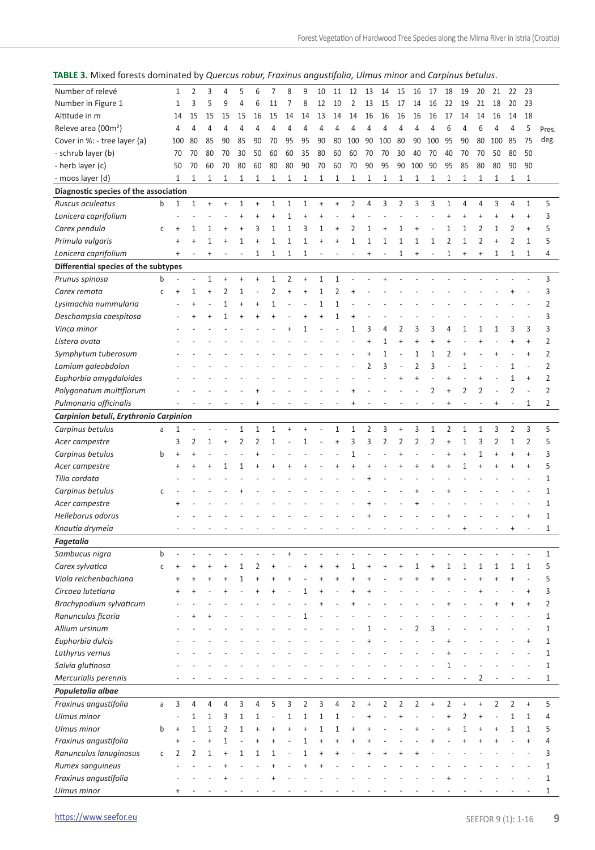|  | TABLE 3. Mixed forests dominated by Quercus robur, Fraxinus angustifolia, Ulmus minor and Carpinus betulus. |
|--|-------------------------------------------------------------------------------------------------------------|
|--|-------------------------------------------------------------------------------------------------------------|

| Number of relevé                       |              | 1                        | 2                    | 3            | 4            | 5              | 6              | 7              | 8                        | 9              | 10             | 11                       | 12             | 13             | 14                       | 15             | 16             | 17             | 18             | 19        | 20             | 21        | 22             | 23                               |                |
|----------------------------------------|--------------|--------------------------|----------------------|--------------|--------------|----------------|----------------|----------------|--------------------------|----------------|----------------|--------------------------|----------------|----------------|--------------------------|----------------|----------------|----------------|----------------|-----------|----------------|-----------|----------------|----------------------------------|----------------|
| Number in Figure 1                     |              | 1                        | 3                    | 5            | 9            | 4              | 6              | 11             | $\overline{7}$           | 8              | 12             | 10                       | $\overline{2}$ | 13             | 15                       | 17             | 14             | 16             | 22             | 19        | 21             | 18        | 20             | 23                               |                |
| Altitude in m                          |              | 14                       | 15                   | 15           | 15           | 15             | 16             | 15             | 14                       | 14             | 13             | 14                       | 14             | 16             | 16                       | 16             | 16             | 16             | 17             | 14        | 14             | 16        | 14             | 18                               |                |
| Releve area (00m <sup>2</sup> )        |              | 4                        | $\overline{4}$       | 4            | 4            | $\overline{4}$ | 4              | 4              | $\overline{4}$           | $\overline{4}$ | $\overline{4}$ | 4                        | 4              | $\overline{4}$ | 4                        | $\overline{4}$ | 4              | 4              | 6              | 4         | 6              | 4         | $\overline{4}$ | 5                                | Pres.          |
| Cover in %: - tree layer (a)           |              | 100                      | 80                   | 85           | 90           | 85             | 90             | 70             | 95                       | 95             | 90             | 80                       | 100            | 90             | 100                      | 80             | 90             | 100            | 95             | 90        | 80             | 100       | 85             | 75                               | deg.           |
| - schrub layer (b)                     |              | 70                       | 70                   | 80           | 70           | 30             | 50             | 60             | 60                       | 35             | 80             | 60                       | 60             | 70             | 70                       | 30             | 40             | 70             | 40             | 70        | 70             | 50        | 80             | 50                               |                |
| - herb layer (c)                       |              | 50                       | 70                   | 60           | 70           | 80             | 60             | 80             | 80                       | 90             | 70             | 60                       | 70             | 90             | 95                       | 90             | 100            | 90             | 95             | 85        | 80             | 80        | 90             | 90                               |                |
| - moos layer (d)                       |              | $\mathbf{1}$             | $\mathbf{1}$         | $1\,$        | $\mathbf{1}$ | $1\,$          | 1              | 1              | $\mathbf{1}$             | $\mathbf{1}$   | $\mathbf{1}$   | $\mathbf{1}$             | 1              | $\mathbf{1}$   | $\mathbf{1}$             | $\mathbf{1}$   | 1              | $\mathbf{1}$   | $\mathbf{1}$   | 1         | $\mathbf{1}$   | 1         | 1              | $\mathbf{1}$                     |                |
| Diagnostic species of the association  |              |                          |                      |              |              |                |                |                |                          |                |                |                          |                |                |                          |                |                |                |                |           |                |           |                |                                  |                |
| Ruscus aculeatus                       | b            | $\mathbf{1}$             | $1\,$                | $\ddot{}$    | $\ddot{}$    | $1\,$          | $\ddot{}$      | $1\,$          | $1\,$                    | 1              | $\ddot{}$      | $\ddot{}$                | $\overline{2}$ | 4              | 3                        | $\overline{2}$ | 3              | 3              | $\mathbf{1}$   | 4         | $\overline{4}$ | 3         | 4              | $\mathbf{1}$                     | 5              |
| Lonicera caprifolium                   |              |                          |                      |              |              | $\ddot{}$      | $\ddot{}$      | $\ddot{}$      | $\mathbf{1}$             | $\ddot{}$      | $\ddot{}$      |                          | $\ddot{}$      |                |                          | Ĭ.             |                |                | $\ddot{}$      | $\ddot{}$ | $\ddot{}$      | ÷         | $\ddot{}$      | $\ddot{}$                        | 3              |
| Carex pendula                          | $\mathsf{C}$ | $\ddot{}$                | 1                    | 1            | $\ddot{}$    | $\ddot{}$      | 3              | 1              | $\mathbf{1}$             | 3              | $\mathbf{1}$   | $\ddot{}$                | 2              | 1              | $\ddot{}$                | 1              | $\ddot{}$      |                | $\mathbf{1}$   | 1         | $\overline{2}$ | 1         | 2              | $\ddot{}$                        | 5              |
| Primula vulgaris                       |              | $\ddot{}$                | $\overline{1}$       | 1            | $\ddot{}$    | 1              | $\ddot{}$      | $\mathbf{1}$   | $\mathbf{1}$             | $\mathbf{1}$   | $\ddot{}$      | $\ddot{}$                | $\mathbf{1}$   | $\mathbf{1}$   | 1                        | 1              | 1              | 1              | $\overline{2}$ | 1         | $\overline{2}$ | $\ddot{}$ | 2              | $\mathbf{1}$                     | 5              |
| Lonicera caprifolium                   |              | $\ddot{}$                |                      | $\ddot{}$    |              | $\overline{a}$ | 1              | $\mathbf{1}$   | $\mathbf{1}$             | $1\,$          | L              |                          | L.             | $\ddot{}$      |                          | $1\,$          | $\ddot{}$      | L,             | $\mathbf{1}$   | $\ddot{}$ | $\ddot{}$      | 1         | $\mathbf{1}$   | $\mathbf{1}$                     | 4              |
|                                        |              |                          |                      |              |              |                |                |                |                          |                |                |                          |                |                |                          |                |                |                |                |           |                |           |                |                                  |                |
| Differential species of the subtypes   |              |                          |                      |              |              |                |                |                |                          |                |                |                          |                |                |                          |                |                |                |                |           |                |           |                |                                  |                |
| Prunus spinosa                         | b            |                          |                      | 1            | $\ddot{}$    | $\ddot{}$      | $\ddot{}$      | $1\,$          | $\overline{2}$           | $\ddot{}$      | $\mathbf{1}$   | 1                        |                |                | $\ddot{}$                |                |                |                |                |           |                |           |                |                                  | 3              |
| Carex remota                           | C            | $\ddot{}$                | 1                    | $\ddot{}$    | 2            | $\mathbf{1}$   |                | $\overline{2}$ | $\ddot{}$                | $\ddot{}$      | $\mathbf{1}$   | 2                        | $\ddot{}$      |                |                          |                |                |                |                |           |                |           |                |                                  | 3              |
| Lysimachia nummularia                  |              |                          | $\ddot{\phantom{1}}$ | L,           | $\mathbf{1}$ | $\ddot{}$      | $\ddot{}$      | $\mathbf{1}$   |                          |                | $\mathbf{1}$   | $\mathbf{1}$             |                |                |                          |                |                |                |                |           |                |           |                |                                  | 2              |
| Deschampsia caespitosa                 |              |                          | $\overline{1}$       | $\ddot{}$    | 1            | $\ddot{}$      | $\ddot{}$      | $\ddot{}$      |                          | $\ddot{}$      | $\overline{1}$ | 1                        | $\overline{1}$ |                |                          |                |                |                |                |           |                |           |                |                                  | 3              |
| Vinca minor                            |              |                          |                      |              |              |                |                |                |                          | $\overline{1}$ |                |                          | $\mathbf{1}$   | 3              | 4                        | $\overline{2}$ | 3              | 3              | 4              | 1         | 1              | 1         | 3              | 3                                | 3              |
| Listera ovata                          |              |                          |                      |              |              |                |                |                |                          |                |                |                          |                | $\ddot{}$      | 1                        | $\ddot{}$      | $\ddot{}$      | $\ddot{}$      | $\ddot{}$      |           | $\ddot{}$      |           | $\ddot{}$      | $\ddot{}$                        | 2              |
| Symphytum tuberosum                    |              |                          |                      |              |              |                |                |                |                          |                |                |                          |                | $\ddot{}$      | $\mathbf{1}$             |                | 1              | $\mathbf{1}$   | $\overline{2}$ | $\ddot{}$ |                |           |                | $\ddot{}$                        | 2              |
| Lamium galeobdolon                     |              |                          |                      |              |              |                |                |                |                          |                |                |                          |                | 2              | 3                        | J.             | $\overline{2}$ | 3              | Ĭ.             | 1         |                |           | 1              | J.                               | $\overline{2}$ |
| Euphorbia amygdaloides                 |              |                          |                      |              |              |                |                |                |                          |                |                |                          |                |                |                          | $\overline{1}$ | $\ddot{}$      |                | $\ddot{}$      |           | $\ddot{}$      | J.        | 1              | $\ddot{\phantom{1}}$             | 2              |
| Polygonatum multiflorum                |              |                          |                      |              |              |                |                |                |                          |                |                |                          |                |                |                          |                |                | 2              | $\overline{1}$ | 2         | $\overline{2}$ |           | $\overline{2}$ | L,                               | 2              |
| Pulmonaria officinalis                 |              |                          |                      |              |              |                | $\ddot{}$      |                |                          |                |                |                          | $\overline{1}$ |                |                          |                |                | ÷,             | $\ddot{}$      | L.        | Ĭ.             | $\ddot{}$ | J.             | $\mathbf{1}$                     | 2              |
| Carpinion betuli, Erythronio Carpinion |              |                          |                      |              |              |                |                |                |                          |                |                |                          |                |                |                          |                |                |                |                |           |                |           |                |                                  |                |
| Carpinus betulus                       | a            | $\mathbf{1}$             |                      |              |              | $1\,$          | 1              | $\mathbf{1}$   | $\ddot{}$                | $\ddot{}$      |                | 1                        | 1              | 2              | 3                        | $\ddot{}$      | 3              | 1              | $\overline{2}$ | 1         | $\mathbf{1}$   | 3         | $\overline{2}$ | 3                                | 5              |
| Acer campestre                         |              | 3                        | 2                    | 1            | $\ddot{}$    | $\overline{2}$ | $\overline{2}$ | 1              |                          | $\mathbf{1}$   |                | $\ddot{}$                | 3              | 3              | $\overline{2}$           | $\overline{2}$ | $\overline{2}$ | $\overline{2}$ | $\ddot{}$      | 1         | 3              | 2         | $\mathbf{1}$   | $\overline{2}$                   | 5              |
| Carpinus betulus                       | b            | $\ddot{}$                |                      |              |              |                | $\ddot{}$      |                |                          |                |                |                          | $\mathbf{1}$   | Ĭ.             |                          | $\overline{1}$ |                |                | $\ddot{}$      | $\ddot{}$ | $\mathbf{1}$   | $\ddot{}$ | $\ddot{}$      | $\ddot{}$                        | 3              |
| Acer campestre                         |              | $\ddot{}$                | $\ddot{}$            | $\ddot{}$    | 1            | 1              | $\overline{1}$ |                |                          |                |                |                          | $\ddot{}$      | ÷.             | $\ddot{}$                | ł              | $\ddot{}$      | 4              | $\overline{1}$ | 1         | $\ddot{}$      | $\ddot{}$ | $\ddot{}$      | $\ddot{}$                        | 5              |
| Tilia cordata                          |              |                          |                      |              |              |                |                |                |                          |                |                |                          |                |                |                          |                |                |                |                |           |                |           |                | L.                               | 1              |
| Carpinus betulus                       | С            |                          |                      |              |              |                |                |                |                          |                |                |                          |                |                |                          |                |                |                |                |           |                |           |                |                                  | 1              |
| Acer campestre                         |              |                          |                      |              |              |                |                |                |                          |                |                |                          |                |                |                          |                |                |                |                |           |                |           |                |                                  | 1              |
| Helleborus odorus                      |              |                          |                      |              |              |                |                |                |                          |                |                |                          |                |                |                          |                |                |                |                |           |                |           |                | $\ddot{}$                        | 1              |
| Knautia drymeia                        |              | $\overline{\phantom{a}}$ |                      |              |              |                |                |                | $\overline{\phantom{a}}$ |                |                | $\overline{\phantom{a}}$ |                | ÷              | $\overline{\phantom{a}}$ | $\overline{a}$ |                |                |                | $\ddot{}$ |                |           | $\ddagger$     | ÷                                | 1              |
| Fagetalia                              |              |                          |                      |              |              |                |                |                |                          |                |                |                          |                |                |                          |                |                |                |                |           |                |           |                |                                  |                |
| Sambucus nigra                         | b            |                          |                      |              |              |                |                |                |                          |                |                |                          |                |                |                          |                |                |                |                |           |                |           |                |                                  | 1              |
| Carex sylvatica                        | C            | $\ddot{}$                | $\overline{1}$       | $\ddot{}$    |              | 1              | 2              |                |                          |                |                |                          | 1              |                |                          |                | 1              | $\ddot{}$      | $\mathbf{1}$   | 1         | 1              | 1         | 1              | $\mathbf{1}$                     | 5              |
| Viola reichenbachiana                  |              | $\ddot{}$                | $\overline{1}$       | $\ddot{}$    | $\ddot{}$    | $\mathbf{1}$   | $\ddot{}$      |                |                          |                | $\ddot{}$      | $\overline{1}$           | $\ddot{}$      | ÷.             |                          | $\overline{1}$ | $\ddot{}$      | $\ddot{}$      | $\overline{1}$ |           | $\overline{1}$ | $\ddot{}$ | $\overline{1}$ |                                  | 5              |
| Circaea lutetiana                      |              |                          | $\ddot{}$            |              |              |                | $\ddot{}$      |                |                          | $\mathbf{1}$   | ŧ              |                          | $\ddot{}$      | ÷.             |                          |                |                |                |                |           | $\ddot{}$      |           |                | $\ddot{}$                        | 3              |
|                                        |              |                          |                      |              |              |                |                |                |                          |                |                |                          |                |                |                          |                |                |                |                |           |                |           | $\ddot{}$      |                                  |                |
| Brachypodium sylvaticum                |              |                          |                      |              |              |                |                |                |                          |                |                |                          |                |                |                          |                |                |                |                |           |                | $\ddot{}$ |                | $\ddot{}$                        | 2              |
| Ranunculus ficaria                     |              |                          |                      |              |              |                |                |                |                          | 1              |                |                          |                |                |                          |                |                |                |                |           |                |           |                |                                  | 1              |
| Allium ursinum                         |              |                          |                      |              |              |                |                |                |                          |                |                |                          |                | 1              |                          |                | 2              | 3              |                |           |                |           |                |                                  | 1              |
| Euphorbia dulcis                       |              |                          |                      |              |              |                |                |                |                          |                |                |                          |                | +              |                          |                |                |                |                |           |                |           |                | $\ddot{}$                        |                |
| Lathyrus vernus                        |              |                          |                      |              |              |                |                |                |                          |                |                |                          |                |                |                          |                |                |                |                |           |                |           |                |                                  | 1              |
| Salvia glutinosa                       |              |                          |                      |              |              |                |                |                |                          |                |                |                          |                |                |                          |                |                |                | 1              |           |                |           |                |                                  | $\mathbf{1}$   |
| Mercurialis perennis                   |              |                          |                      |              |              |                |                |                |                          |                |                |                          |                |                |                          |                |                |                |                |           | 2              |           |                |                                  | 1              |
| Populetalia albae                      |              |                          |                      |              |              |                |                |                |                          |                |                |                          |                |                |                          |                |                |                |                |           |                |           |                |                                  |                |
| Fraxinus angustifolia                  | a            | 3                        | 4                    | 4            | 4            | 3              | 4              | 5              | 3                        | 2              | 3              | 4                        | 2              | $\ddot{}$      | 2                        | 2              | 2              | $\ddot{}$      | $\overline{2}$ | $\ddot{}$ | $\ddot{}$      | 2         | 2              | $\begin{array}{c} + \end{array}$ | 5              |
| Ulmus minor                            |              |                          | $1\,$                | 1            | 3            | $1\,$          | 1              | J.             | 1                        | $\mathbf{1}$   | 1              | 1                        | Ĭ.             | $\ddot{}$      |                          | $\overline{1}$ |                |                | $\ddot{}$      | 2         | $\ddot{}$      |           | 1              | $\mathbf{1}$                     | 4              |
| Ulmus minor                            | b            | $\ddot{}$                | $1\,$                | $\mathbf{1}$ | 2            | 1              | $\ddot{}$      | $\ddot{}$      | $\ddot{}$                | $\ddot{}$      | 1              | 1                        | $\ddot{}$      |                |                          |                |                |                |                | 1         | $\ddot{}$      | ÷         | 1              | $\mathbf{1}$                     | 5              |
| Fraxinus angustifolia                  |              | $\ddot{}$                |                      | $\ddot{}$    | 1            |                | $\ddot{}$      | $\ddot{}$      |                          | $\mathbf{1}$   | $\ddot{}$      |                          |                |                |                          |                |                |                |                |           |                |           |                | $\ddot{}$                        | 4              |
| Ranunculus lanuginosus                 | С            | 2                        | 2                    | $\mathbf{1}$ | $\ddot{}$    | 1              | 1              | 1              |                          | $\mathbf{1}$   |                |                          |                |                |                          |                |                |                |                |           |                |           |                |                                  | 3              |
| Rumex sanguineus                       |              |                          |                      |              |              |                |                |                |                          |                |                |                          |                |                |                          |                |                |                |                |           |                |           |                |                                  | $\mathbf{1}$   |
| Fraxinus angustifolia                  |              |                          |                      |              |              |                |                |                |                          |                |                |                          |                |                |                          |                |                |                |                |           |                |           |                |                                  | $\mathbf{1}$   |
| Ulmus minor                            |              |                          |                      |              |              |                |                |                |                          |                |                |                          |                |                |                          |                |                |                |                |           |                |           |                |                                  | 1              |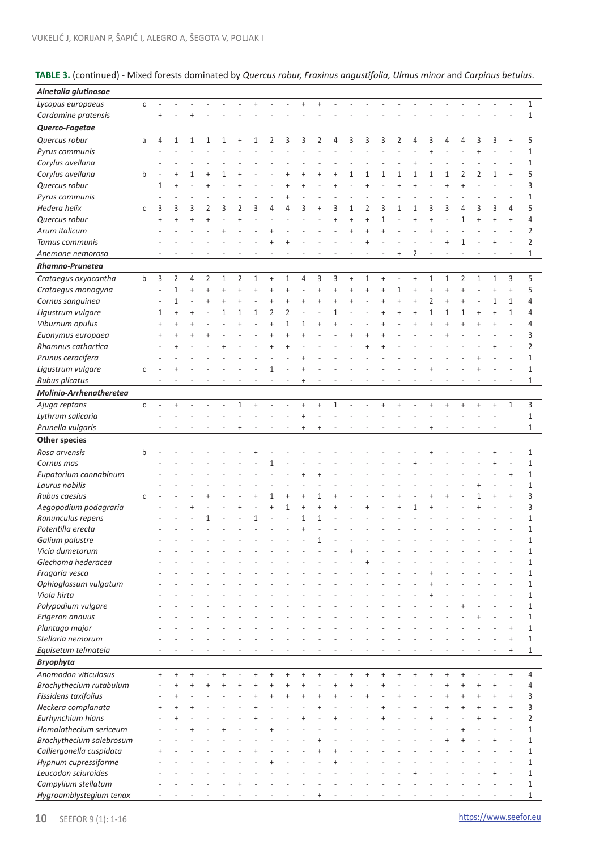| TABLE 3. (continued) - Mixed forests dominated by Quercus robur, Fraxinus angustifolia, Ulmus minor and Carpinus betulus. |  |  |  |
|---------------------------------------------------------------------------------------------------------------------------|--|--|--|
|---------------------------------------------------------------------------------------------------------------------------|--|--|--|

| Alnetalia glutinosae     |              |                |              |              |              |              |           |                |                |                |           |                |              |           |           |           |                |           |                |                |                |                |              |                          |                |
|--------------------------|--------------|----------------|--------------|--------------|--------------|--------------|-----------|----------------|----------------|----------------|-----------|----------------|--------------|-----------|-----------|-----------|----------------|-----------|----------------|----------------|----------------|----------------|--------------|--------------------------|----------------|
| Lycopus europaeus        | $\mathsf{C}$ |                |              |              |              |              |           | $\ddot{}$      | $\overline{a}$ | Ĭ.             | $\ddot{}$ | $\ddot{}$      |              |           |           |           |                |           |                |                |                |                |              |                          | $\mathbf{1}$   |
| Cardamine pratensis      |              | $\ddot{}$      |              | $\ddot{}$    |              |              |           |                |                |                |           |                |              |           |           |           |                |           |                |                |                |                |              |                          | 1              |
| Querco-Fagetae           |              |                |              |              |              |              |           |                |                |                |           |                |              |           |           |           |                |           |                |                |                |                |              |                          |                |
| Quercus robur            | a            | 4              | $\mathbf{1}$ | $\mathbf{1}$ | $\mathbf{1}$ | $\mathbf{1}$ | $\ddot{}$ | $\mathbf{1}$   | $\overline{2}$ | 3              | 3         | $\overline{2}$ | 4            | 3         | 3         | 3         | $\overline{2}$ | 4         | 3              | 4              | 4              | 3              | 3            | $\ddot{}$                | 5              |
| Pyrus communis           |              |                |              |              |              |              |           |                |                |                |           |                |              |           |           |           |                |           | $\ddot{}$      |                |                | $\ddot{}$      |              |                          | $\mathbf{1}$   |
| Corylus avellana         |              |                |              |              |              |              |           |                |                |                |           |                |              |           |           |           |                | $\ddot{}$ |                |                |                |                |              |                          | 1              |
| Corylus avellana         | b            |                |              | 1            |              | 1            |           |                |                |                |           |                |              | 1         | 1         | 1         | 1              | 1         | 1              | 1              | $\overline{2}$ | 2              | 1            | $\ddot{}$                | 5              |
| Quercus robur            |              |                | $\ddot{}$    |              |              |              |           |                |                |                | 4         |                | 4            |           | $\ddot{}$ |           | $\ddot{}$      | $\ddot{}$ |                | $\overline{1}$ | $\overline{1}$ |                |              | ÷.                       | 3              |
|                          |              | 1              |              |              |              |              |           |                |                |                |           |                |              |           |           |           |                |           |                |                |                |                |              |                          | 1              |
| Pyrus communis           |              |                |              |              |              |              |           |                |                |                |           |                |              |           |           |           |                |           |                |                |                |                |              |                          |                |
| Hedera helix             | C            | 3              | 3            | 3            | 2            | 3            | 2         | 3              | 4              | 4              | 3         |                | 3            | 1         | 2         | 3         | 1              | 1         | 3              | 3              | 4              | 3              | 3            | 4                        | 5              |
| Quercus robur            |              | $\overline{1}$ |              | $\ddot{}$    |              |              | $\ddot{}$ |                |                |                |           |                |              | $\ddot{}$ | $\ddot{}$ | 1         |                | $\ddot{}$ |                |                | $\mathbf{1}$   | $\overline{1}$ |              | $\ddot{}$                | 4              |
| Arum italicum            |              |                |              |              |              |              |           |                | $\ddot{}$      |                |           |                |              | $\ddot{}$ | $\ddot{}$ | $\ddot{}$ |                |           |                |                |                |                |              |                          | $\overline{2}$ |
| Tamus communis           |              |                |              |              |              |              |           |                |                |                |           |                |              |           | $\ddot{}$ |           |                |           |                |                | $\mathbf{1}$   |                |              |                          | $\overline{2}$ |
| Anemone nemorosa         |              |                |              |              |              |              |           |                |                |                |           |                |              |           |           |           | $\ddot{}$      | 2         |                |                |                |                |              |                          | 1              |
| Rhamno-Prunetea          |              |                |              |              |              |              |           |                |                |                |           |                |              |           |           |           |                |           |                |                |                |                |              |                          |                |
| Crataegus oxyacantha     | b            | 3              | 2            | 4            | 2            | 1            | 2         | 1              | $\ddot{}$      | 1              | 4         | 3              | 3            | $\ddot{}$ | 1         | $\ddot{}$ |                | $\ddot{}$ | $\mathbf{1}$   | 1              | 2              | $\mathbf{1}$   | $\mathbf{1}$ | 3                        | 5              |
| Crataegus monogyna       |              |                | $\mathbf{1}$ | $\ddot{}$    | $\ddot{}$    | $\ddot{}$    | $\ddot{}$ | $\ddot{}$      | $\ddot{}$      | $\ddot{}$      |           | $\ddot{}$      | $\ddot{}$    | $\ddot{}$ | $\ddot{}$ | 4         | 1              | $\ddot{}$ | $\ddot{}$      | $\ddot{}$      | $\ddot{}$      |                | $\ddot{}$    | $\ddot{}$                | 5              |
| Cornus sanguinea         |              |                | 1            |              |              | $\ddot{}$    | $\ddot{}$ |                | $\ddot{}$      | $\ddot{}$      |           |                | 4            |           |           |           | $\ddot{}$      | $\ddot{}$ | 2              | $\ddot{}$      | $\overline{1}$ |                | 1            | $\mathbf{1}$             | 4              |
| Ligustrum vulgare        |              | 1              | $\ddot{}$    | 4            |              | 1            | 1         | 1              | 2              | 2              |           |                | 1            |           |           |           | 4              | $\ddot{}$ | 1              | 1              | 1              | $\ddot{}$      | 4            | $\mathbf{1}$             | 4              |
| Viburnum opulus          |              |                |              | 4            |              |              | $\ddot{}$ |                | $\ddot{}$      | $1\,$          | 1         |                |              |           |           |           |                |           |                | $\overline{1}$ | $\overline{1}$ |                |              | $\overline{\phantom{a}}$ | 4              |
| Euonymus europaea        |              |                |              | 4            |              |              |           |                |                | $\ddot{}$      | ÷.        |                |              |           |           |           |                |           |                | $\overline{1}$ |                |                |              |                          | 3              |
| Rhamnus cathartica       |              |                |              |              |              |              |           |                |                | $\overline{1}$ |           |                |              |           |           |           |                |           |                |                |                |                |              |                          | $\overline{2}$ |
| Prunus ceracifera        |              |                |              |              |              |              |           |                |                |                |           |                |              |           |           |           |                |           |                |                |                |                |              |                          | 1              |
| Ligustrum vulgare        | с            |                |              |              |              |              |           |                | 1              |                |           |                |              |           |           |           |                |           |                |                |                |                |              |                          | $1\,$          |
| Rubus plicatus           |              |                |              |              |              |              |           |                |                |                |           |                |              |           |           |           |                |           |                |                |                |                |              |                          | 1              |
|                          |              |                |              |              |              |              |           |                |                |                |           |                |              |           |           |           |                |           |                |                |                |                |              |                          |                |
| Molinio-Arrhenatheretea  |              |                |              |              |              |              |           |                |                |                |           |                |              |           |           |           |                |           |                |                |                |                |              |                          |                |
| Ajuga reptans            | $\mathsf{C}$ |                | $\ddot{}$    |              |              |              | $1\,$     | $\ddot{}$      |                |                | $\ddot{}$ | $\ddot{}$      | $\mathbf{1}$ |           |           | $\ddot{}$ | $\ddot{}$      |           | $\ddot{}$      | $\ddot{}$      | $\ddot{}$      | $\ddot{}$      | $\ddot{}$    | $\mathbf{1}$             | 3              |
| Lythrum salicaria        |              |                |              |              |              |              |           |                |                |                |           |                |              |           |           |           |                |           |                |                |                |                |              |                          | $1\,$          |
| Prunella vulgaris        |              |                |              |              |              |              | $\ddot{}$ |                |                |                | $\ddot{}$ | $\ddot{}$      |              |           |           |           |                |           |                |                |                |                |              |                          | $\mathbf{1}$   |
| <b>Other species</b>     |              |                |              |              |              |              |           |                |                |                |           |                |              |           |           |           |                |           |                |                |                |                |              |                          |                |
| Rosa arvensis            | b            |                |              |              |              |              |           | $\overline{1}$ |                |                |           |                |              |           |           |           |                |           | $\overline{1}$ |                |                |                | $\ddot{}$    |                          | $\mathbf{1}$   |
| Cornus mas               |              |                |              |              |              |              |           |                | 1              |                |           |                |              |           |           |           |                |           |                |                |                |                |              |                          | 1              |
| Eupatorium cannabinum    |              |                |              |              |              |              |           |                |                |                |           |                |              |           |           |           |                |           |                |                |                |                |              | $\overline{1}$           | 1              |
| Laurus nobilis           |              |                |              |              |              |              |           |                |                |                |           |                |              |           |           |           |                |           |                |                |                |                |              |                          | 1              |
| Rubus caesius            | С            |                |              |              |              |              |           |                |                |                |           |                |              |           |           |           |                |           |                |                |                |                |              | $\ddot{}$                | 3              |
| Aegopodium podagraria    |              |                |              |              |              |              |           |                | $\ddot{}$      | 1              | $\ddot{}$ |                |              |           |           |           |                | 1         |                |                |                |                |              |                          | 3              |
| Ranunculus repens        |              |                |              |              |              |              |           | 1              |                |                | 1         | 1              |              |           |           |           |                |           |                |                |                |                |              |                          | 1              |
| Potentilla erecta        |              |                |              |              |              |              |           |                |                |                | 4         |                |              |           |           |           |                |           |                |                |                |                |              |                          | 1              |
| Galium palustre          |              |                |              |              |              |              |           |                |                |                |           | 1              |              |           |           |           |                |           |                |                |                |                |              |                          | $\mathbf{1}$   |
| Vicia dumetorum          |              |                |              |              |              |              |           |                |                |                |           |                |              |           |           |           |                |           |                |                |                |                |              |                          | 1              |
| Glechoma hederacea       |              |                |              |              |              |              |           |                |                |                |           |                |              |           |           |           |                |           |                |                |                |                |              |                          | 1              |
| Fragaria vesca           |              |                |              |              |              |              |           |                |                |                |           |                |              |           |           |           |                |           |                |                |                |                |              |                          | $\mathbf{1}$   |
| Ophioglossum vulgatum    |              |                |              |              |              |              |           |                |                |                |           |                |              |           |           |           |                |           |                |                |                |                |              |                          | 1              |
| Viola hirta              |              |                |              |              |              |              |           |                |                |                |           |                |              |           |           |           |                |           |                |                |                |                |              |                          | $\mathbf{1}$   |
| Polypodium vulgare       |              |                |              |              |              |              |           |                |                |                |           |                |              |           |           |           |                |           |                |                |                |                |              |                          | $\mathbf{1}$   |
| Erigeron annuus          |              |                |              |              |              |              |           |                |                |                |           |                |              |           |           |           |                |           |                |                |                |                |              |                          | $\mathbf{1}$   |
| Plantago major           |              |                |              |              |              |              |           |                |                |                |           |                |              |           |           |           |                |           |                |                |                |                |              | $\ddot{}$                | 1              |
| Stellaria nemorum        |              |                |              |              |              |              |           |                |                |                |           |                |              |           |           |           |                |           |                |                |                |                |              | $\overline{1}$           | 1              |
| Equisetum telmateia      |              |                |              |              |              |              |           |                |                |                |           |                |              |           |           |           |                |           |                |                |                |                |              | $\ddot{}$                | $\,1$          |
| <b>Bryophyta</b>         |              |                |              |              |              |              |           |                |                |                |           |                |              |           |           |           |                |           |                |                |                |                |              |                          |                |
| Anomodon viticulosus     |              | $\ddot{}$      | $\ddot{}$    | $\ddot{}$    |              |              |           |                |                | $\ddot{}$      | $\ddot{}$ |                |              |           | $\ddot{}$ | $\ddot{}$ | $\overline{1}$ | $\ddot{}$ | $\ddot{}$      | $\ddot{}$      | $\ddot{}$      |                |              | $\ddot{}$                | 4              |
| Brachythecium rutabulum  |              |                | $\ddot{}$    | $\ddot{}$    |              |              |           |                |                |                |           |                |              |           |           |           |                |           |                |                | $\ddot{}$      |                |              |                          | 4              |
| Fissidens taxifolius     |              |                | $\ddot{}$    |              |              |              |           |                |                |                |           |                |              |           |           |           |                |           |                |                |                |                |              | $\ddot{}$                | 3              |
| Neckera complanata       |              |                |              |              |              |              |           |                |                |                |           |                |              |           |           |           |                |           |                |                |                |                |              | $\overline{1}$           | 3              |
| Eurhynchium hians        |              |                |              |              |              |              |           |                |                |                |           |                |              |           |           |           |                |           |                |                |                |                |              |                          | $\overline{2}$ |
| Homalothecium sericeum   |              |                |              |              |              |              |           |                |                |                |           |                |              |           |           |           |                |           |                |                |                |                |              |                          | $\mathbf{1}$   |
| Brachythecium salebrosum |              |                |              |              |              |              |           |                |                |                |           |                |              |           |           |           |                |           |                |                |                |                |              |                          | $\mathbf{1}$   |
| Calliergonella cuspidata |              |                |              |              |              |              |           |                |                |                |           |                |              |           |           |           |                |           |                |                |                |                |              |                          | $\mathbf{1}$   |
|                          |              |                |              |              |              |              |           |                |                |                |           |                |              |           |           |           |                |           |                |                |                |                |              |                          | $\mathbf{1}$   |
| Hypnum cupressiforme     |              |                |              |              |              |              |           |                |                |                |           |                |              |           |           |           |                |           |                |                |                |                |              |                          |                |
| Leucodon sciuroides      |              |                |              |              |              |              |           |                |                |                |           |                |              |           |           |           |                |           |                |                |                |                |              |                          | 1              |
| Campylium stellatum      |              |                |              |              |              |              |           |                |                |                |           |                |              |           |           |           |                |           |                |                |                |                |              |                          | 1              |
| Hygroamblystegium tenax  |              |                |              |              |              |              |           |                |                |                |           |                |              |           |           |           |                |           |                |                |                |                |              |                          | 1              |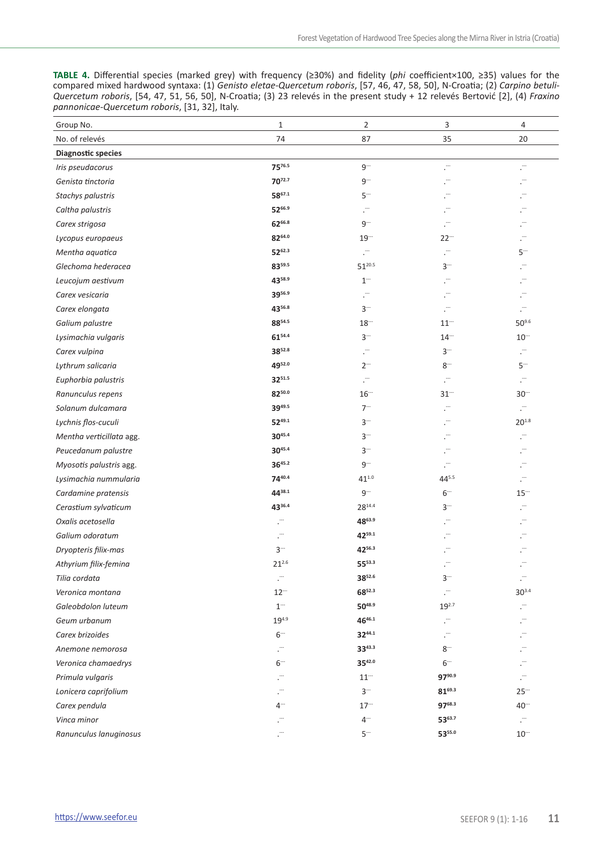**TABLE 4.** Differential species (marked grey) with frequency (≥30%) and fidelity (*phi* coefficient×100, ≥35) values for the compared mixed hardwood syntaxa: (1) *Genisto eletae-Quercetum roboris*, [57, 46, 47, 58, 50], N-Croatia; (2) *Carpino betuli-Quercetum roboris*, [54, 47, 51, 56, 50], N-Croatia; (3) 23 relevés in the present study + 12 relevés Bertović [2], (4) *Fraxino pannonicae-Quercetum roboris*, [31, 32], Italy.

| Group No.                 | $\mathbf{1}$   | $\overline{2}$ | 3             | $\overline{4}$           |
|---------------------------|----------------|----------------|---------------|--------------------------|
| No. of relevés            | 74             | 87             | 35            | 20                       |
| <b>Diagnostic species</b> |                |                |               |                          |
| Iris pseudacorus          | 7576.5         | $9^-$          | ŗ.            | Ĭ.                       |
| Genista tinctoria         | 7072.7         | 9-             | ŗ.            |                          |
| Stachys palustris         | 5867.1         | $5-$           | Ö,            |                          |
| Caltha palustris          | 5266.9         | . <sup></sup>  |               |                          |
| Carex strigosa            | 6266.8         | $9^{-}$        | Ö,            |                          |
| Lycopus europaeus         | 8264.0         | $19 -$         | $22 -$        | ŗ.                       |
| Mentha aquatica           | 5262.3         | Ĭ.             | ŗ.            | $5-$                     |
| Glechoma hederacea        | 8359.5         | $51^{20.5}$    | $3-$          | ŗ.                       |
| Leucojum aestivum         | 4358.9         | $1^{-}$        | Ĭ.            | $\overline{\phantom{a}}$ |
| Carex vesicaria           | 3956.9         | ŗ.             | ."            |                          |
| Carex elongata            | 4356.8         | $3-$           | Ö,            | Ö,                       |
| Galium palustre           | 8854.5         | $18 -$         | $11 -$        | $50^{9.6}$               |
| Lysimachia vulgaris       | 6154.4         | $3-$           | $14 -$        | $10^{-1}$                |
| Carex vulpina             | 3852.8         | Ö,             | $3-$          | ŗ.                       |
| Lythrum salicaria         | 4952.0         | $2 -$          | $8-$          | $5-$                     |
| Euphorbia palustris       | 3251.5         | Ö,             | Ö,            | ÷.                       |
| Ranunculus repens         | 8250.0         | $16 -$         | $31^{-}$      | $30 -$                   |
| Solanum dulcamara         | 3949.5         | $7 -$          | Ĭ.            | г.                       |
| Lychnis flos-cuculi       | 5249.1         | $3 -$          |               | $20^{1.8}$               |
| Mentha verticillata agg.  | 3045.4         | $3-$           |               | л                        |
| Peucedanum palustre       | $30^{45.4}$    | $3-$           | . <sup></sup> | . <sup></sup>            |
| Myosotis palustris agg.   | 3645.2         | $9 -$          | . <sup></sup> |                          |
| Lysimachia nummularia     | 7440.4         | $41^{1.0}$     | 445.5         |                          |
| Cardamine pratensis       | 4438.1         | $9-$           | $6 -$         | $15 -$                   |
| Cerastium sylvaticum      | 4336.4         | $28^{14.4}$    | $3-$          |                          |
| Oxalis acetosella         | $\tilde{\psi}$ | 4863.9         | Ö,            | л                        |
| Galium odoratum           |                | 4259.1         |               |                          |
| Dryopteris filix-mas      | $3-$           | 4256.3         | ŗ.            |                          |
| Athyrium filix-femina     | $21^{2.6}$     | $55^{53.3}$    | F,            | л                        |
| Tilia cordata             | Ö,             | 3852.6         | $3-1$         | Л                        |
| Veronica montana          | $12 -$         | 6852.3         | ŗ.            | $30^{3.4}$               |
| Galeobdolon luteum        | $1^{\rm -}$    | 5048.9         | $19^{2.7}$    | ŗ.                       |
| Geum urbanum              | $19^{4.9}$     | 4646.1         | ŗ.            | Ö,                       |
| Carex brizoides           | $6-1$          | 3244.1         | F,            | ŗ.                       |
| Anemone nemorosa          | ŗ.             | $33^{43.3}$    | $8-$          | л                        |
| Veronica chamaedrys       | $6 -$          | 3542.0         | $6 -$         | . <sup></sup>            |
| Primula vulgaris          |                | $11 -$         | 9790.9        | ŗ.                       |
| Lonicera caprifolium      |                | $3-$           | $81^{69.3}$   | $25 -$                   |
| Carex pendula             | $4 -$          | $17 -$         | 9768.3        | $40 -$                   |
| Vinca minor               | Л              | $4 -$          | 5363.7        | ŗ.                       |
| Ranunculus lanuginosus    |                | $5-$           | 5355.0        | $10^{-1}$                |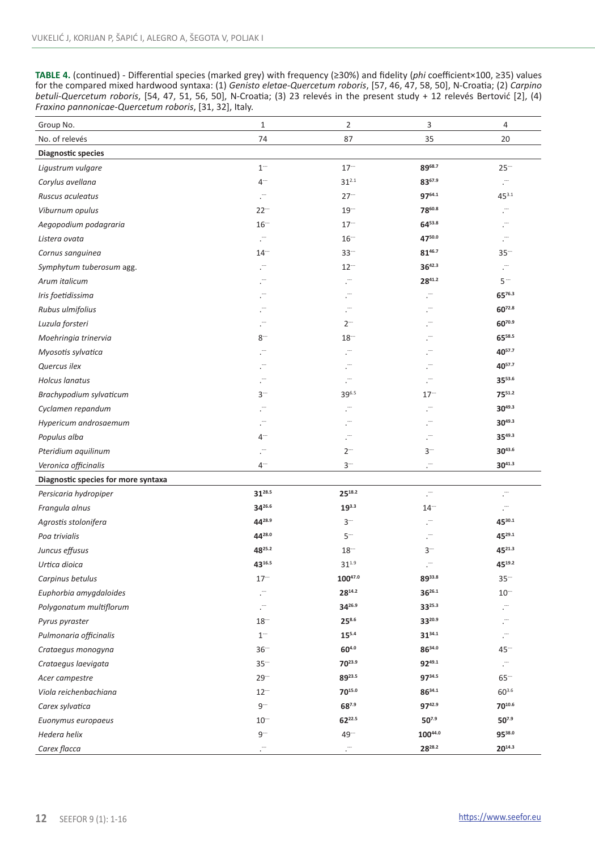**TABLE 4.** (continued) - Differential species (marked grey) with frequency (≥30%) and fidelity (*phi* coefficient×100, ≥35) values for the compared mixed hardwood syntaxa: (1) *Genisto eletae-Quercetum roboris*, [57, 46, 47, 58, 50], N-Croatia; (2) *Carpino betuli-Quercetum roboris*, [54, 47, 51, 56, 50], N-Croatia; (3) 23 relevés in the present study + 12 relevés Bertović [2], (4) *Fraxino pannonicae-Quercetum roboris*, [31, 32], Italy.

| Group No.                           | $\mathbf 1$   | $\overline{2}$       | 3             | 4           |
|-------------------------------------|---------------|----------------------|---------------|-------------|
| No. of relevés                      | 74            | 87                   | 35            | 20          |
| <b>Diagnostic species</b>           |               |                      |               |             |
| Ligustrum vulgare                   | $1^{-}$       | $17 -$               | 8968.7        | $25 -$      |
| Corylus avellana                    | $4 -$         | $31^{2.1}$           | 8367.9        | ŗ.          |
| Ruscus aculeatus                    | ÷,            | $27 -$               | 9764.1        | 453.1       |
| Viburnum opulus                     | $22 -$        | $19 -$               | 7860.8        | ŗ.          |
| Aegopodium podagraria               | $16 -$        | $17 -$               | $64^{53.8}$   | ŗ.          |
| Listera ovata                       | $\cdot$       | $16 -$               | 4750.0        | Ö,          |
| Cornus sanguinea                    | $14 -$        | $33 -$               | 8146.7        | $35 -$      |
| Symphytum tuberosum agg.            |               | $12 -$               | $36^{42.3}$   | Ö,          |
| Arum italicum                       | . <sup></sup> | ÷,                   | $28^{41.2}$   | $5 -$       |
| Iris foetidissima                   |               | ŗ.                   |               | 6576.3      |
| Rubus ulmifolius                    |               | $\cdot$              | . <sup></sup> | $60^{72.8}$ |
| Luzula forsteri                     | ÷.            | $2 -$                | Ĭ.            | 6070.9      |
| Moehringia trinervia                | $8-$          | $18 -$               | ŗ.            | $65^{58.5}$ |
| Myosotis sylvatica                  |               | $\ddot{\phantom{a}}$ | Ö,            | 4057.7      |
| Quercus ilex                        | ŗ.            |                      |               | 4057.7      |
| Holcus lanatus                      | <sup></sup>   | ÷.                   | ÷.            | 3553.6      |
| Brachypodium sylvaticum             | $3-1$         | 396.5                | $17 -$        | 7551.2      |
| Cyclamen repandum                   | ŗ.            | . <sup>11</sup>      | ŗ.            | $30^{49.3}$ |
| Hypericum androsaemum               | ÷.            | . <sup>11</sup>      | Ö,            | $30^{49.3}$ |
| Populus alba                        | $4-$          | ŗ.                   | Ĭ.            | $35^{49.3}$ |
| Pteridium aquilinum                 | Ĭ.            | $2^{-}$              | $3-$          | $30^{43.6}$ |
| Veronica officinalis                | $4-1$         | $3-$                 | Ĭ.            | $30^{41.3}$ |
| Diagnostic species for more syntaxa |               |                      |               |             |
| Persicaria hydropiper               | $31^{28.5}$   | 2518.2               | Ö,            | Ö,          |
| Frangula alnus                      | 3426.6        | $19^{3.3}$           | $14 -$        | Ĭ.          |
| Agrostis stolonifera                | 4428.9        | $3-$                 | ŗ.            | 4530.1      |
| Poa trivialis                       | 4428.0        | $5-$                 |               | 4529.1      |
| Juncus effusus                      | 4825.2        | $18 -$               | $3-$          | 4521.3      |
| Urtica dioica                       | 4316.5        | $31^{1.9}$           | Ö,            | 4519.2      |
| Carpinus betulus                    | $17 -$        | 10047.0              | $89^{33.8}$   | $35 -$      |
| Euphorbia amygdaloides              |               | 2814.2               | $36^{26.1}$   | $10 -$      |
| Polygonatum multiflorum             | $\cdot$       | 3426.9               | 3325.3        | Ö,          |
| Pyrus pyraster                      | $18 -$        | $25^{8.6}$           | 3320.9        | Ĭ.          |
| Pulmonaria officinalis              | $1^-$         | 155.4                | $31^{34.1}$   | Ö,          |
| Crataegus monogyna                  | $36 -$        | 604.0                | 8634.0        | $45 -$      |
| Crataegus laevigata                 | $35 -$        | 7023.9               | 9249.1        | ÷,          |
| Acer campestre                      | $29 -$        | 8923.5               | $97^{34.5}$   | $65 -$      |
| Viola reichenbachiana               | $12 -$        | 7015.0               | 8634.1        | $60^{3.6}$  |
| Carex sylvatica                     | $9^{\rm -}$   | 687.9                | 9742.9        | 7010.6      |
| Euonymus europaeus                  | $10^{-1}$     | 6222.5               | 507.9         | $50^{7.9}$  |
| Hedera helix                        | $9^{-}$       | 49                   | 10044.0       | 9538.0      |
| Carex flacca                        |               |                      | 2828.2        | 2014.3      |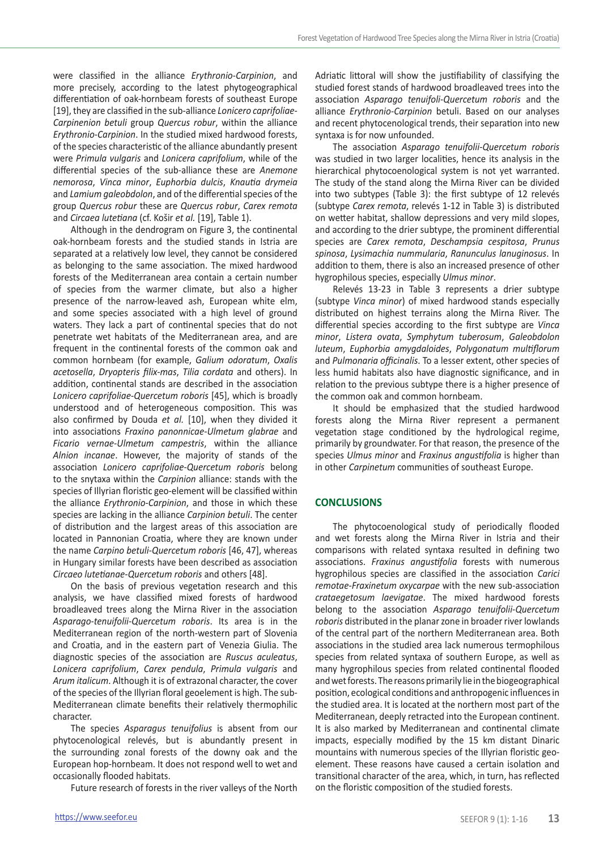were classified in the alliance *Erythronio*-*Carpinion*, and more precisely, according to the latest phytogeographical differentiation of oak-hornbeam forests of southeast Europe [19], they are classified in the sub-alliance *Lonicero caprifoliae*-*Carpinenion betuli* group *Quercus robur*, within the alliance *Erythronio*-*Carpinion*. In the studied mixed hardwood forests, of the species characteristic of the alliance abundantly present were *Primula vulgaris* and *Lonicera caprifolium*, while of the differential species of the sub-alliance these are *Anemone nemorosa*, *Vinca minor*, *Euphorbia dulcis*, *Knautia drymeia*  and *Lamium galeobdolon*, and of the differential species of the group *Quercus robur* these are *Quercus robur*, *Carex remota* and *Circaea lutetiana* (cf. Košir *et al.* [19], Table 1).

Although in the dendrogram on Figure 3, the continental oak-hornbeam forests and the studied stands in Istria are separated at a relatively low level, they cannot be considered as belonging to the same association. The mixed hardwood forests of the Mediterranean area contain a certain number of species from the warmer climate, but also a higher presence of the narrow-leaved ash, European white elm, and some species associated with a high level of ground waters. They lack a part of continental species that do not penetrate wet habitats of the Mediterranean area, and are frequent in the continental forests of the common oak and common hornbeam (for example, *Galium odoratum*, *Oxalis acetosella*, *Dryopteris filix-mas*, *Tilia cordata* and others). In addition, continental stands are described in the association *Lonicero caprifoliae*-*Quercetum roboris* [45], which is broadly understood and of heterogeneous composition. This was also confirmed by Douda *et al.* [10], when they divided it into associations *Fraxino panonnicae*-*Ulmetum glabrae* and *Ficario vernae*-*Ulmetum campestris*, within the alliance *Alnion incanae*. However, the majority of stands of the association *Lonicero caprifoliae*-*Quercetum roboris* belong to the snytaxa within the *Carpinion* alliance: stands with the species of Illyrian floristic geo-element will be classified within the alliance *Erythronio*-*Carpinion*, and those in which these species are lacking in the alliance *Carpinion betuli*. The center of distribution and the largest areas of this association are located in Pannonian Croatia, where they are known under the name *Carpino betuli*-*Quercetum roboris* [46, 47], whereas in Hungary similar forests have been described as association *Circaeo lutetianae*-*Quercetum roboris* and others [48].

On the basis of previous vegetation research and this analysis, we have classified mixed forests of hardwood broadleaved trees along the Mirna River in the association *Asparago*-*tenuifolii*-*Quercetum roboris*. Its area is in the Mediterranean region of the north-western part of Slovenia and Croatia, and in the eastern part of Venezia Giulia. The diagnostic species of the association are *Ruscus aculeatus*, *Lonicera caprifolium*, *Carex pendula*, *Primula vulgaris* and *Arum italicum*. Although it is of extrazonal character, the cover of the species of the Illyrian floral geoelement is high. The sub-Mediterranean climate benefits their relatively thermophilic character.

The species *Asparagus tenuifolius* is absent from our phytocenological relevés, but is abundantly present in the surrounding zonal forests of the downy oak and the European hop-hornbeam. It does not respond well to wet and occasionally flooded habitats.

Future research of forests in the river valleys of the North

Adriatic littoral will show the justifiability of classifying the studied forest stands of hardwood broadleaved trees into the association *Asparago tenuifoli*-*Quercetum roboris* and the alliance *Erythronio*-*Carpinion* betuli. Based on our analyses and recent phytocenological trends, their separation into new syntaxa is for now unfounded.

The association *Asparago tenuifolii*-*Quercetum roboris* was studied in two larger localities, hence its analysis in the hierarchical phytocoenological system is not yet warranted. The study of the stand along the Mirna River can be divided into two subtypes (Table 3): the first subtype of 12 relevés (subtype *Carex remota*, relevés 1-12 in Table 3) is distributed on wetter habitat, shallow depressions and very mild slopes, and according to the drier subtype, the prominent differential species are *Carex remota*, *Deschampsia cespitosa*, *Prunus spinosa*, *Lysimachia nummularia*, *Ranunculus lanuginosus*. In addition to them, there is also an increased presence of other hygrophilous species, especially *Ulmus minor*.

Relevés 13-23 in Table 3 represents a drier subtype (subtype *Vinca minor*) of mixed hardwood stands especially distributed on highest terrains along the Mirna River. The differential species according to the first subtype are *Vinca minor*, *Listera ovata*, *Symphytum tuberosum*, *Galeobdolon luteum*, *Euphorbia amygdaloides*, *Polygonatum multiflorum* and *Pulmonaria officinalis*. To a lesser extent, other species of less humid habitats also have diagnostic significance, and in relation to the previous subtype there is a higher presence of the common oak and common hornbeam.

It should be emphasized that the studied hardwood forests along the Mirna River represent a permanent vegetation stage conditioned by the hydrological regime, primarily by groundwater. For that reason, the presence of the species *Ulmus minor* and *Fraxinus angustifolia* is higher than in other *Carpinetum* communities of southeast Europe.

## **CONCLUSIONS**

The phytocoenological study of periodically flooded and wet forests along the Mirna River in Istria and their comparisons with related syntaxa resulted in defining two associations. *Fraxinus angustifolia* forests with numerous hygrophilous species are classified in the association *Carici remotae*-*Fraxinetum oxycarpae* with the new sub-association *crataegetosum laevigatae*. The mixed hardwood forests belong to the association *Asparago tenuifolii*-*Quercetum roboris* distributed in the planar zone in broader river lowlands of the central part of the northern Mediterranean area. Both associations in the studied area lack numerous termophilous species from related syntaxa of southern Europe, as well as many hygrophilous species from related continental flooded and wet forests. The reasons primarily lie in the biogeographical position, ecological conditions and anthropogenic influences in the studied area. It is located at the northern most part of the Mediterranean, deeply retracted into the European continent. It is also marked by Mediterranean and continental climate impacts, especially modified by the 15 km distant Dinaric mountains with numerous species of the Illyrian floristic geoelement. These reasons have caused a certain isolation and transitional character of the area, which, in turn, has reflected on the floristic composition of the studied forests.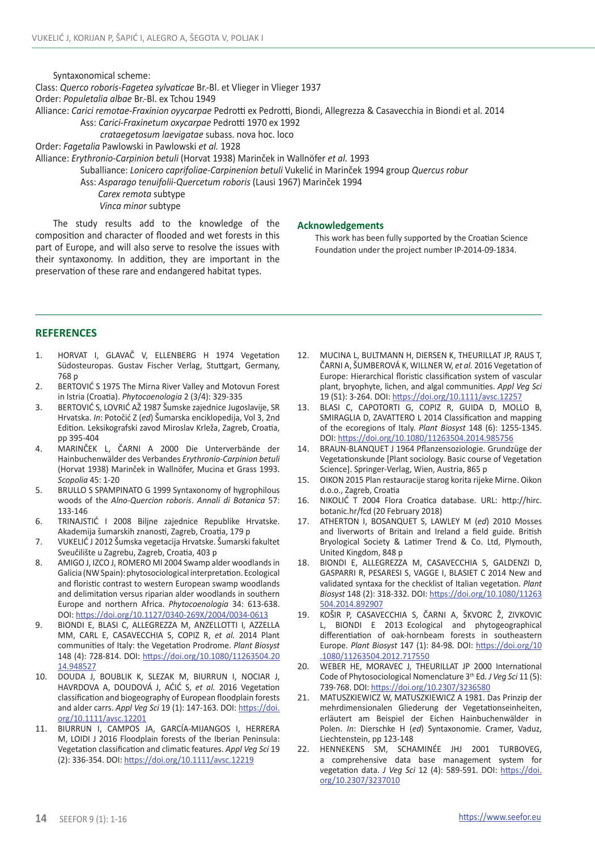Syntaxonomical scheme:

Class: *Querco roboris*-*Fagetea sylvaticae* Br.-Bl. et Vlieger in Vlieger 1937

Order: *Populetalia albae* Br.-Bl. ex Tchou 1949

Alliance: *Carici remotae*-*Fraxinion oyycarpae* Pedrotti ex Pedrotti, Biondi, Allegrezza & Casavecchia in Biondi et al. 2014

Ass: *Carici-Fraxinetum oxycarpae* Pedrotti 1970 ex 1992

 *crataegetosum laevigatae* subass. nova hoc. loco Order: *Fagetalia* Pawlowski in Pawlowski *et al.* 1928

Alliance: *Erythronio-Carpinion betuli* (Horvat 1938) Marinček in Wallnöfer *et al.* 1993

Suballiance: *Lonicero caprifoliae-Carpinenion betuli* Vukelić in Marinček 1994 group *Quercus robur*

Ass: *Asparago tenuifolii*-*Quercetum roboris* (Lausi 1967) Marinček 1994

 *Carex remota* subtype *Vinca minor* subtype

The study results add to the knowledge of the composition and character of flooded and wet forests in this part of Europe, and will also serve to resolve the issues with their syntaxonomy. In addition, they are important in the preservation of these rare and endangered habitat types.

#### **Acknowledgements**

This work has been fully supported by the Croatian Science Foundation under the project number IP-2014-09-1834.

## **REFERENCES**

- 1. HORVAT I, GLAVAČ V, ELLENBERG H 1974 Vegetation Südosteuropas. Gustav Fischer Verlag, Stuttgart, Germany, 768 p
- 2. BERTOVIĆ S 1975 The Mirna River Valley and Motovun Forest in Istria (Croatia). *Phytocoenologia* 2 (3/4): 329-335
- 3. BERTOVIĆ S, LOVRIĆ AŽ 1987 Šumske zajednice Jugoslavije, SR Hrvatska. *In*: Potočić Z (*ed*) Šumarska enciklopedija, Vol 3, 2nd Edition. Leksikografski zavod Miroslav Krleža, Zagreb, Croatia, pp 395-404
- 4. MARINČEK L, ČARNI A 2000 Die Unterverbände der Hainbuchenwälder des Verbandes *Erythronio*-*Carpinion betuli* (Horvat 1938) Marinček in Wallnöfer, Mucina et Grass 1993. *Scopolia* 45: 1-20
- 5. BRULLO S SPAMPINATO G 1999 Syntaxonomy of hygrophilous woods of the *Alno*-*Quercion roboris*. *Annali di Botanica* 57: 133-146
- 6. TRINAJSTIĆ I 2008 Biljne zajednice Republike Hrvatske. Akademija šumarskih znanosti, Zagreb, Croatia, 179 p
- 7. VUKELIĆ J 2012 Šumska vegetacija Hrvatske. Šumarski fakultet Sveučilište u Zagrebu, Zagreb, Croatia, 403 p
- 8. AMIGO J, IZCO J, ROMERO MI 2004 Swamp alder woodlands in Galicia (NW Spain): phytosociological interpretation. Ecological and floristic contrast to western European swamp woodlands and delimitation versus riparian alder woodlands in southern Europe and northern Africa. *Phytocoenologia* 34: 613-638. DOI: <https://doi.org/10.1127/0340-269X/2004/0034-0613>
- 9. BIONDI E, BLASI C, ALLEGREZZA M, ANZELLOTTI I, AZZELLA MM, CARL E, CASAVECCHIA S, COPIZ R, *et al.* 2014 Plant communities of Italy: the Vegetation Prodrome. *Plant Biosyst* 148 (4): 728-814. DOI: [https://doi.org/10.1080/11263504.20](https://doi.org/10.1080/11263504.2014.948527) [14.948527](https://doi.org/10.1080/11263504.2014.948527)
- 10. DOUDA J, BOUBLIK K, SLEZAK M, BIURRUN I, NOCIAR J, HAVRDOVA A, DOUDOVÁ J, AĆIĆ S, *et al.* 2016 Vegetation classification and biogeography of European floodplain forests and alder carrs. *Appl Veg Sci* 19 (1): 147-163. DOI: [https://doi.](https://doi.org/10.1111/avsc.12201) [org/10.1111/avsc.12201](https://doi.org/10.1111/avsc.12201)
- 11. BIURRUN I, CAMPOS JA, GARCÍA-MIJANGOS I, HERRERA M, LOIDI J 2016 Floodplain forests of the Iberian Peninsula: Vegetation classification and climatic features. *Appl Veg Sci* 19 (2): 336-354. DOI:<https://doi.org/10.1111/avsc.12219>
- 12. MUCINA L, BULTMANN H, DIERSEN K, THEURILLAT JP, RAUS T, ČARNI A, ŠUMBEROVÁ K, WILLNER W, *et al.* 2016 Vegetation of Europe: Hierarchical floristic classification system of vascular plant, bryophyte, lichen, and algal communities. *Appl Veg Sci* 19 (S1): 3-264. DOI:<https://doi.org/10.1111/avsc.12257>
- 13. BLASI C, CAPOTORTI G, COPIZ R, GUIDA D, MOLLO B, SMIRAGLIA D, ZAVATTERO L 2014 Classification and mapping of the ecoregions of Italy. *Plant Biosyst* 148 (6): 1255-1345. DOI: <https://doi.org/10.1080/11263504.2014.985756>
- 14. BRAUN-BLANQUET J 1964 Pflanzensoziologie. Grundzüge der Vegetationskunde [Plant sociology. Basic course of Vegetation Science]. Springer-Verlag, Wien, Austria, 865 p
- 15. OIKON 2015 Plan restauracije starog korita rijeke Mirne. Oikon d.o.o., Zagreb, Croatia
- 16. NIKOLIĆ T 2004 Flora Croatica database. URL: http://hirc. botanic.hr/fcd (20 February 2018)
- 17. ATHERTON I, BOSANQUET S, LAWLEY M (*ed*) 2010 Mosses and liverworts of Britain and Ireland a field guide. British Bryological Society & Latimer Trend & Co. Ltd, Plymouth, United Kingdom, 848 p
- 18. BIONDI E, ALLEGREZZA M, CASAVECCHIA S, GALDENZI D, GASPARRI R, PESARESI S, VAGGE I, BLASIET C 2014 New and validated syntaxa for the checklist of Italian vegetation. *Plant Biosyst* 148 (2): 318-332. DOI: [https://doi.org/10.1080/11263](https://doi.org/10.1080/11263504.2014.892907) [504.2014.892907](https://doi.org/10.1080/11263504.2014.892907)
- 19. KOŠIR P, CASAVECCHIA S, ČARNI A, ŠKVORC Ž, ZIVKOVIC L, BIONDI E 2013 Ecological and phytogeographical differentiation of oak-hornbeam forests in southeastern Europe. *Plant Biosyst* 147 (1): 84-98. DOI: [https://doi.org/10](https://doi.org/10.1080/11263504.2012.717550) [.1080/11263504.2012.717550](https://doi.org/10.1080/11263504.2012.717550)
- 20. WEBER HE, MORAVEC J, THEURILLAT JP 2000 International Code of Phytosociological Nomenclature 3th Ed. *J Veg Sci* 11 (5): 739-768. DOI:<https://doi.org/10.2307/3236580>
- 21. MATUSZKIEWICZ W, MATUSZKIEWICZ A 1981. Das Prinzip der mehrdimensionalen Gliederung der Vegetationseinheiten, erläutert am Beispiel der Eichen Hainbuchenwälder in Polen. *In*: Dierschke H (*ed*) Syntaxonomie. Cramer, Vaduz, Liechtenstein, pp 123-148
- 22. HENNEKENS SM, SCHAMINÉE JHJ 2001 TURBOVEG, a comprehensive data base management system for vegetation data. *J Veg Sci* 12 (4): 589-591. DOI: [https://doi.](https://doi.org/10.2307/3237010) [org/10.2307/3237010](https://doi.org/10.2307/3237010)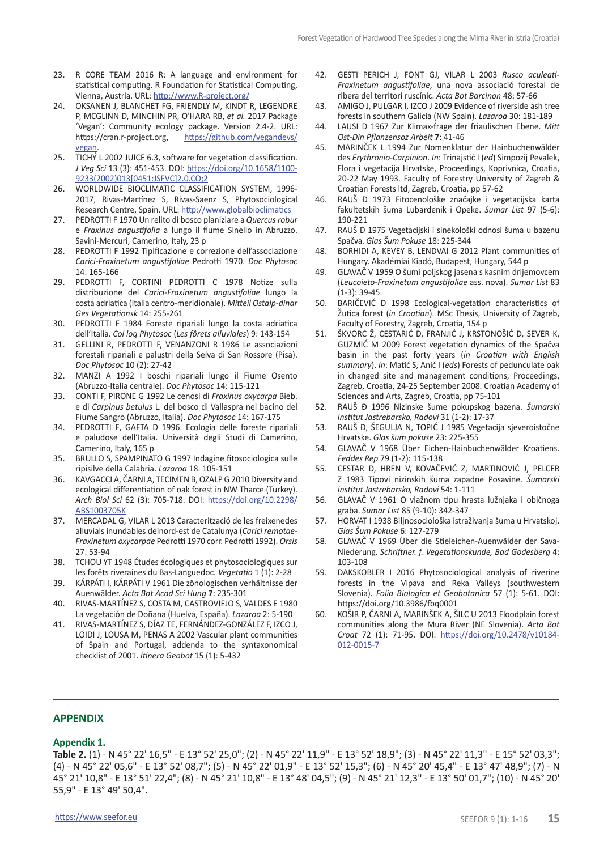- 23. R CORE TEAM 2016 R: A language and environment for statistical computing. R Foundation for Statistical Computing, Vienna, Austria. URL: <http://www.R-project.org/>
- 24. OKSANEN J, BLANCHET FG, FRIENDLY M, KINDT R, LEGENDRE P, MCGLINN D, MINCHIN PR, O'HARA RB, *et al.* 2017 Package 'Vegan': Community ecology package. Version 2.4-2. URL: https://cran.r-project.org, [https://github.com/vegandevs/](https://github.com/vegandevs/vegan) [vegan.](https://github.com/vegandevs/vegan)
- 25. TICHÝ L 2002 JUICE 6.3, software for vegetation classification. *J Veg Sci* 13 (3): 451-453. DOI: [https://doi.org/10.1658/1100-](https://doi.org/10.1658/1100-9233(2002)013%5b0451:JSFVC%5d2.0.CO;2) [9233\(2002\)013\[0451:JSFVC\]2.0.CO;2](https://doi.org/10.1658/1100-9233(2002)013%5b0451:JSFVC%5d2.0.CO;2)
- 26. WORLDWIDE BIOCLIMATIC CLASSIFICATION SYSTEM, 1996- 2017, Rivas-Martínez S, Rivas-Saenz S, Phytosociological Research Centre, Spain. URL:<http://www.globalbioclimatics>
- 27. PEDROTTI F 1970 Un relito di bosco planiziare a *Quercus robur* e *Fraxinus angustifolia* a lungo il fiume Sinello in Abruzzo. Savini-Mercuri, Camerino, Italy, 23 p
- 28. PEDROTTI F 1992 Tipificazione e correzione dell'associazione *Carici-Fraxinetum angustifoliae* Pedrotti 1970. *Doc Phytosoc* 14: 165-166
- 29. PEDROTTI F, CORTINI PEDROTTI C 1978 Notize sulla distribuzione del *Carici-Fraxinetum angustifoliae* lungo la costa adriatica (Italia centro-meridionale). *Mitteil Ostalp-dinar Ges Vegetationsk* 14: 255-261
- 30. PEDROTTI F 1984 Foreste ripariali lungo la costa adriatica dell'Italia. *Col loq Phytosoc* (*Les fôrets alluviales*) 9: 143-154
- 31. GELLINI R, PEDROTTI F, VENANZONI R 1986 Le associazioni forestali ripariali e palustri della Selva di San Rossore (Pisa). *Doc Phytosoc* 10 (2): 27-42
- 32. MANZI A 1992 I boschi ripariali lungo il Fiume Osento (Abruzzo-Italia centrale). *Doc Phytosoc* 14: 115-121
- 33. CONTI F, PIRONE G 1992 Le cenosi di *Fraxinus oxycarpa* Bieb. e di *Carpinus betulus* L. del bosco di Vallaspra nel bacino del Fiume Sangro (Abruzzo, Italia). *Doc Phytosoc* 14: 167-175
- 34. PEDROTTI F, GAFTA D 1996. Ecologia delle foreste ripariali e paludose dell'Italia. Università degli Studi di Camerino, Camerino, Italy, 165 p
- 35. BRULLO S, SPAMPINATO G 1997 Indagine fitosociologica sulle ripisilve della Calabria. *Lazaroa* 18: 105-151
- 36. KAVGACCI A, ČARNI A, TECIMEN B, OZALP G 2010 Diversity and ecological differentiation of oak forest in NW Tharce (Turkey). *Arch Biol Sci* 62 (3): 705-718. DOI: [https://doi.org/10.2298/](https://doi.org/10.2298/ABS1003705K) [ABS1003705K](https://doi.org/10.2298/ABS1003705K)
- 37. MERCADAL G, VILAR L 2013 Caracterització de les freixenedes alluvials inundables delnord-est de Catalunya (*Carici remotae-Fraxinetum oxycarpae* Pedrotti 1970 corr. Pedrotti 1992). *Orsis* 27: 53-94
- 38. TCHOU YT 1948 Études écologiques et phytosociologiques sur les forêts riveraines du Bas-Languedoc. *Vegetatio* 1 (1): 2-28
- 39. KÁRPÁTI I, KÁRPÁTI V 1961 Die zönologischen verhältnisse der Auenwälder. *Acta Bot Acad Sci Hung* **7**: 235-301
- 40. RIVAS-MARTÍNEZ S, COSTA M, CASTROVIEJO S, VALDES E 1980 La vegetación de Doñana (Huelva, España). *Lazaroa* 2: 5-190
- 41. RIVAS-MARTÍNEZ S, DÍAZ TE, FERNÁNDEZ-GONZÁLEZ F, IZCO J, LOIDI J, LOUSA M, PENAS A 2002 Vascular plant communities of Spain and Portugal, addenda to the syntaxonomical checklist of 2001. *Itinera Geobot* 15 (1): 5-432
- 42. GESTI PERICH J, FONT GJ, VILAR L 2003 *Rusco aculeati-Fraxinetum angustifoliae*, una nova associació forestal de ribera del territori ruscínic. *Acta Bot Barcinon* 48: 57-66
- 43. AMIGO J, PULGAR I, IZCO J 2009 Evidence of riverside ash tree forests in southern Galicia (NW Spain). *Lazaroa* 30: 181-189
- 44. LAUSI D 1967 Zur Klimax-frage der friaulischen Ebene. *Mitt Ost-Din Pflanzensoz Arbeit* **7**: 41-46
- 45. MARINČEK L 1994 Zur Nomenklatur der Hainbuchenwälder des *Erythronio-Carpinion*. *In*: Trinajstić I (*ed*) Simpozij Pevalek, Flora i vegetacija Hrvatske, Proceedings, Koprivnica, Croatia, 20-22 May 1993. Faculty of Forestry University of Zagreb & Croatian Forests ltd, Zagreb, Croatia, pp 57-62
- 46. RAUŠ Đ 1973 Fitocenološke značajke i vegetacijska karta fakultetskih šuma Lubardenik i Opeke. *Sumar List* 97 (5-6): 190-221
- 47. RAUŠ Đ 1975 Vegetacijski i sinekološki odnosi šuma u bazenu Spačva. *Glas Šum Pokuse* 18: 225-344
- 48. BORHIDI A, KEVEY B, LENDVAI G 2012 Plant communities of Hungary. Akadémiai Kiadó, Budapest, Hungary, 544 p
- 49. GLAVAČ V 1959 O šumi poljskog jasena s kasnim drijemovcem (*Leucoieto-Fraxinetum angustifoliae* ass. nova). *Sumar List* 83 (1-3): 39-45
- 50. BARIČEVIĆ D 1998 Ecological-vegetation characteristics of Žutica forest (*in Croatian*). MSc Thesis, University of Zagreb, Faculty of Forestry, Zagreb, Croatia, 154 p
- 51. ŠKVORC Ž, CESTARIĆ D, FRANJIĆ J, KRSTONOŠIĆ D, SEVER K, GUZMIĆ M 2009 Forest vegetation dynamics of the Spačva basin in the past forty years (*in Croatian with English summary*). *In*: Matić S, Anić I (*eds*) Forests of pedunculate oak in changed site and management conditions, Proceedings, Zagreb, Croatia, 24-25 September 2008. Croatian Academy of Sciences and Arts, Zagreb, Croatia, pp 75-101
- 52. RAUŠ Đ 1996 Nizinske šume pokupskog bazena. *Šumarski institut Jastrebarsko, Radovi* 31 (1-2): 17-37
- 53. RAUŠ Đ, ŠEGULJA N, TOPIĆ J 1985 Vegetacija sjeveroistočne Hrvatske. *Glas šum pokuse* 23: 225-355
- 54. GLAVAČ V 1968 Über Eichen-Hainbuchenwälder Kroatiens. *Feddes Rep* 79 (1-2): 115-138
- 55. CESTAR D, HREN V, KOVAČEVIĆ Z, MARTINOVIĆ J, PELCER Z 1983 Tipovi nizinskih šuma zapadne Posavine. *Šumarski institut Jastrebarsko, Radovi* 54: 1-111
- 56. GLAVAČ V 1961 O vlažnom tipu hrasta lužnjaka i običnoga graba. *Sumar List* 85 (9-10): 342-347
- 57. HORVAT I 1938 Biljnosociološka istraživanja šuma u Hrvatskoj. *Glas Šum Pokuse* 6: 127-279
- 58. GLAVAČ V 1969 Über die Stieleichen-Auenwälder der Sava-Niederung. *Schriftner. f. Vegetationskunde, Bad Godesberg* 4: 103-108
- 59. DAKSKOBLER I 2016 Phytosociological analysis of riverine forests in the Vipava and Reka Valleys (southwestern Slovenia). *Folia Biologica et Geobotanica* 57 (1): 5-61. DOI: <https://doi.org/10.3986/fbq0001>
- 60. KOŠIR P, ČARNI A, MARINŠEK A, ŠILC U 2013 Floodplain forest communities along the Mura River (NE Slovenia). *Acta Bot Croat* 72 (1): 71-95. DOI: [https://doi.org/10.2478/v10184-](https://doi.org/10.2478/v10184-012-0015-7) [012-0015-7](https://doi.org/10.2478/v10184-012-0015-7)

## **APPENDIX**

#### **Appendix 1.**

**Table 2.** (1) - N 45° 22' 16,5" - E 13° 52' 25,0"; (2) - N 45° 22' 11,9" - E 13° 52' 18,9"; (3) - N 45° 22' 11,3" - E 15° 52' 03,3"; (4) - N 45° 22' 05,6" - E 13° 52' 08,7"; (5) - N 45° 22' 01,9" - E 13° 52' 15,3"; (6) - N 45° 20' 45,4" - E 13° 47' 48,9"; (7) - N 45° 21' 10,8" - E 13° 51' 22,4"; (8) - N 45° 21' 10,8" - E 13° 48' 04,5"; (9) - N 45° 21' 12,3" - E 13° 50' 01,7"; (10) - N 45° 20' 55,9" - E 13° 49' 50,4".